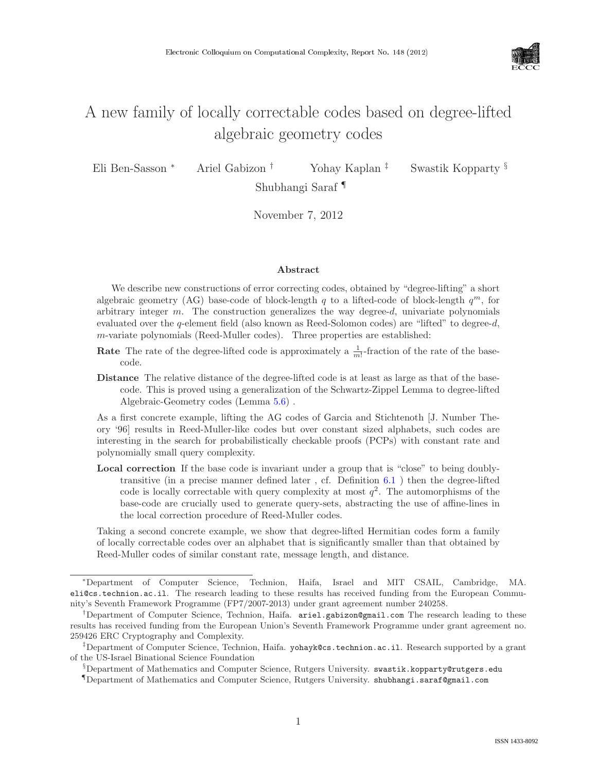

# A new family of locally correctable codes based on degree-lifted algebraic geometry codes

Eli Ben-Sasson <sup>∗</sup> Ariel Gabizon † Yohay Kaplan ‡ Swastik Kopparty §

Shubhangi Saraf ¶

November 7, 2012

#### Abstract

We describe new constructions of error correcting codes, obtained by "degree-lifting" a short algebraic geometry (AG) base-code of block-length q to a lifted-code of block-length  $q^m$ , for arbitrary integer  $m$ . The construction generalizes the way degree- $d$ , univariate polynomials evaluated over the q-element field (also known as Reed-Solomon codes) are "lifted" to degree-d, m-variate polynomials (Reed-Muller codes). Three properties are established:

- **Rate** The rate of the degree-lifted code is approximately a  $\frac{1}{m}$ -fraction of the rate of the basecode.
- Distance The relative distance of the degree-lifted code is at least as large as that of the basecode. This is proved using a generalization of the Schwartz-Zippel Lemma to degree-lifted Algebraic-Geometry codes (Lemma [5.6\)](#page--1-0) .

As a first concrete example, lifting the AG codes of Garcia and Stichtenoth [J. Number Theory '96] results in Reed-Muller-like codes but over constant sized alphabets, such codes are interesting in the search for probabilistically checkable proofs (PCPs) with constant rate and polynomially small query complexity.

Local correction If the base code is invariant under a group that is "close" to being doublytransitive (in a precise manner defined later , cf. Definition [6.1](#page--1-1) ) then the degree-lifted code is locally correctable with query complexity at most  $q^2$ . The automorphisms of the base-code are crucially used to generate query-sets, abstracting the use of affine-lines in the local correction procedure of Reed-Muller codes.

Taking a second concrete example, we show that degree-lifted Hermitian codes form a family of locally correctable codes over an alphabet that is significantly smaller than that obtained by Reed-Muller codes of similar constant rate, message length, and distance.

<sup>∗</sup>Department of Computer Science, Technion, Haifa, Israel and MIT CSAIL, Cambridge, MA. eli@cs.technion.ac.il. The research leading to these results has received funding from the European Community's Seventh Framework Programme (FP7/2007-2013) under grant agreement number 240258.

<sup>†</sup>Department of Computer Science, Technion, Haifa. ariel.gabizon@gmail.com The research leading to these results has received funding from the European Union's Seventh Framework Programme under grant agreement no. 259426 ERC Cryptography and Complexity.

<sup>‡</sup>Department of Computer Science, Technion, Haifa. yohayk@cs.technion.ac.il. Research supported by a grant of the US-Israel Binational Science Foundation

 $\S$ Department of Mathematics and Computer Science, Rutgers University. swastik.kopparty@rutgers.edu

<sup>¶</sup>Department of Mathematics and Computer Science, Rutgers University. shubhangi.saraf@gmail.com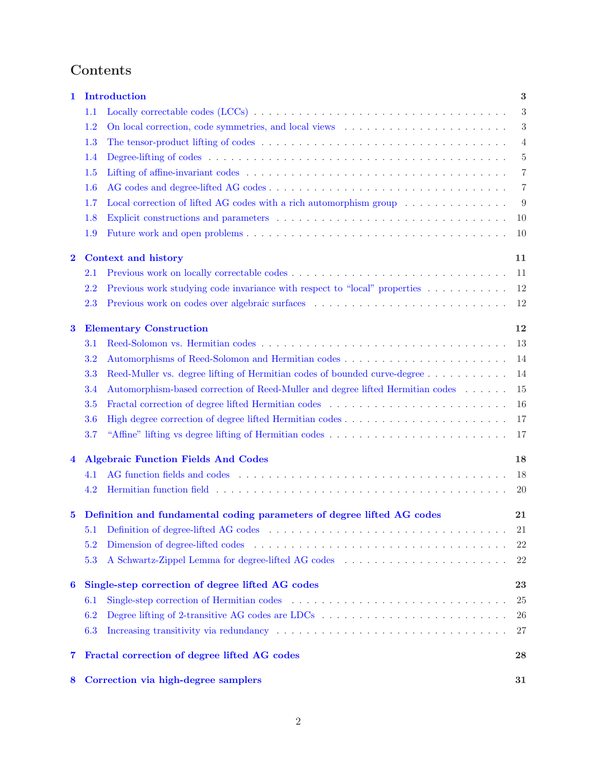# Contents

| 1                       |         | <b>Introduction</b><br>3                                                                                                                    |                |  |
|-------------------------|---------|---------------------------------------------------------------------------------------------------------------------------------------------|----------------|--|
|                         | 1.1     |                                                                                                                                             | 3              |  |
|                         | 1.2     |                                                                                                                                             | 3              |  |
|                         | 1.3     |                                                                                                                                             | $\overline{4}$ |  |
|                         | $1.4\,$ | Degree-lifting of codes $\dots \dots \dots \dots \dots \dots \dots \dots \dots \dots \dots \dots \dots \dots \dots \dots \dots \dots \dots$ | $\overline{5}$ |  |
|                         | 1.5     |                                                                                                                                             | $\overline{7}$ |  |
|                         | 1.6     |                                                                                                                                             | 7              |  |
|                         | 1.7     | Local correction of lifted AG codes with a rich automorphism group $\dots \dots \dots \dots$                                                | 9              |  |
|                         | 1.8     |                                                                                                                                             | 10             |  |
|                         | 1.9     |                                                                                                                                             | 10             |  |
| $\bf{2}$                |         | Context and history<br>11                                                                                                                   |                |  |
|                         | $2.1\,$ |                                                                                                                                             | 11             |  |
|                         | 2.2     | Previous work studying code invariance with respect to "local" properties                                                                   | 12             |  |
|                         | 2.3     |                                                                                                                                             | 12             |  |
| 3                       |         | <b>Elementary Construction</b><br>12                                                                                                        |                |  |
|                         | 3.1     |                                                                                                                                             | 13             |  |
|                         | 3.2     |                                                                                                                                             | 14             |  |
|                         | 3.3     | Reed-Muller vs. degree lifting of Hermitian codes of bounded curve-degree                                                                   | 14             |  |
|                         | 3.4     | Automorphism-based correction of Reed-Muller and degree lifted Hermitian codes                                                              | 15             |  |
|                         | 3.5     | Fractal correction of degree lifted Hermitian codes                                                                                         | 16             |  |
|                         | 3.6     |                                                                                                                                             | 17             |  |
|                         | 3.7     | "Affine" lifting vs degree lifting of Hermitian codes                                                                                       | 17             |  |
| $\overline{\mathbf{4}}$ |         | <b>Algebraic Function Fields And Codes</b><br>18                                                                                            |                |  |
|                         | 4.1     |                                                                                                                                             | 18             |  |
|                         | 4.2     |                                                                                                                                             | <b>20</b>      |  |
| 5                       |         | Definition and fundamental coding parameters of degree lifted AG codes                                                                      |                |  |
|                         | 5.1     |                                                                                                                                             | $21\,$         |  |
|                         | 5.2     |                                                                                                                                             | 22             |  |
|                         | 5.3     |                                                                                                                                             | 22             |  |
| 6                       |         | Single-step correction of degree lifted AG codes<br>23                                                                                      |                |  |
|                         | 6.1     |                                                                                                                                             | 25             |  |
|                         | 6.2     |                                                                                                                                             | 26             |  |
|                         | 6.3     |                                                                                                                                             | 27             |  |
| 7                       |         | Fractal correction of degree lifted AG codes<br>28                                                                                          |                |  |
| 8                       |         | Correction via high-degree samplers<br>31                                                                                                   |                |  |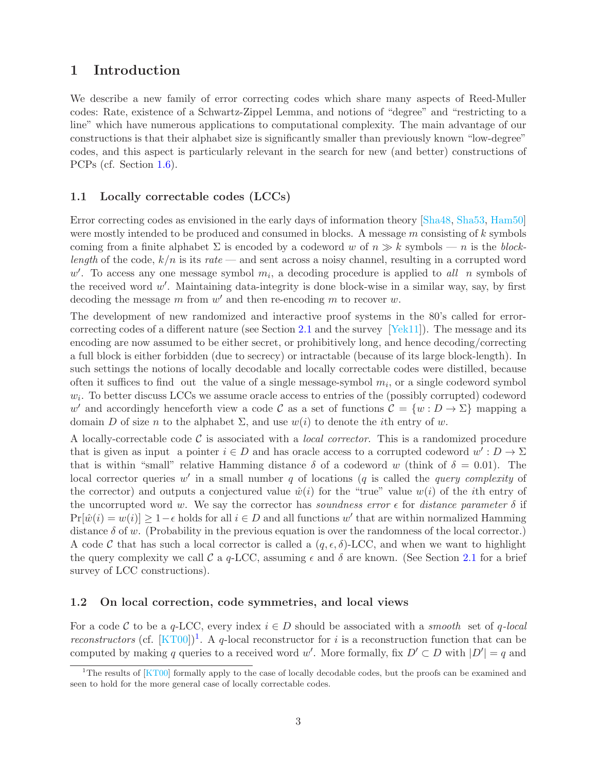# <span id="page-2-0"></span>1 Introduction

We describe a new family of error correcting codes which share many aspects of Reed-Muller codes: Rate, existence of a Schwartz-Zippel Lemma, and notions of "degree" and "restricting to a line" which have numerous applications to computational complexity. The main advantage of our constructions is that their alphabet size is significantly smaller than previously known "low-degree" codes, and this aspect is particularly relevant in the search for new (and better) constructions of PCPs (cf. Section [1.6\)](#page-6-1).

## <span id="page-2-1"></span>1.1 Locally correctable codes (LCCs)

Error correcting codes as envisioned in the early days of information theory [\[Sha48,](#page-37-0) [Sha53,](#page-37-1) [Ham50\]](#page-35-0) were mostly intended to be produced and consumed in blocks. A message m consisting of k symbols coming from a finite alphabet  $\Sigma$  is encoded by a codeword w of  $n \gg k$  symbols — n is the blocklength of the code,  $k/n$  is its rate — and sent across a noisy channel, resulting in a corrupted word w'. To access any one message symbol  $m_i$ , a decoding procedure is applied to all n symbols of the received word  $w'$ . Maintaining data-integrity is done block-wise in a similar way, say, by first decoding the message  $m$  from  $w'$  and then re-encoding  $m$  to recover  $w$ .

The development of new randomized and interactive proof systems in the 80's called for errorcorrecting codes of a different nature (see Section [2.1](#page-10-1) and the survey [\[Yek11\]](#page--1-2)). The message and its encoding are now assumed to be either secret, or prohibitively long, and hence decoding/correcting a full block is either forbidden (due to secrecy) or intractable (because of its large block-length). In such settings the notions of locally decodable and locally correctable codes were distilled, because often it suffices to find out the value of a single message-symbol  $m_i$ , or a single codeword symbol  $w_i$ . To better discuss LCCs we assume oracle access to entries of the (possibly corrupted) codeword w' and accordingly henceforth view a code C as a set of functions  $C = \{w : D \to \Sigma\}$  mapping a domain D of size n to the alphabet  $\Sigma$ , and use  $w(i)$  to denote the *i*th entry of w.

A locally-correctable code  $\mathcal C$  is associated with a *local corrector*. This is a randomized procedure that is given as input a pointer  $i \in D$  and has oracle access to a corrupted codeword  $w' : D \to \Sigma$ that is within "small" relative Hamming distance  $\delta$  of a codeword w (think of  $\delta = 0.01$ ). The local corrector queries  $w'$  in a small number q of locations (q is called the query complexity of the corrector) and outputs a conjectured value  $\hat{w}(i)$  for the "true" value  $w(i)$  of the *i*th entry of the uncorrupted word w. We say the corrector has soundness error  $\epsilon$  for distance parameter  $\delta$  if  $Pr[\hat{w}(i) = w(i)] \ge 1 - \epsilon$  holds for all  $i \in D$  and all functions w' that are within normalized Hamming distance  $\delta$  of w. (Probability in the previous equation is over the randomness of the local corrector.) A code C that has such a local corrector is called a  $(q, \epsilon, \delta)$ -LCC, and when we want to highlight the query complexity we call C a q-LCC, assuming  $\epsilon$  and  $\delta$  are known. (See Section [2.1](#page-10-1) for a brief survey of LCC constructions).

#### <span id="page-2-2"></span>1.2 On local correction, code symmetries, and local views

For a code C to be a q-LCC, every index  $i \in D$  should be associated with a *smooth* set of q-local reconstructors (cf.  $[KT00]$ <sup>[1](#page-2-3)</sup>. A q-local reconstructor for i is a reconstruction function that can be computed by making q queries to a received word w'. More formally, fix  $D' \subset D$  with  $|D'| = q$  and

<span id="page-2-3"></span><sup>&</sup>lt;sup>1</sup>The results of  $KTO0$  formally apply to the case of locally decodable codes, but the proofs can be examined and seen to hold for the more general case of locally correctable codes.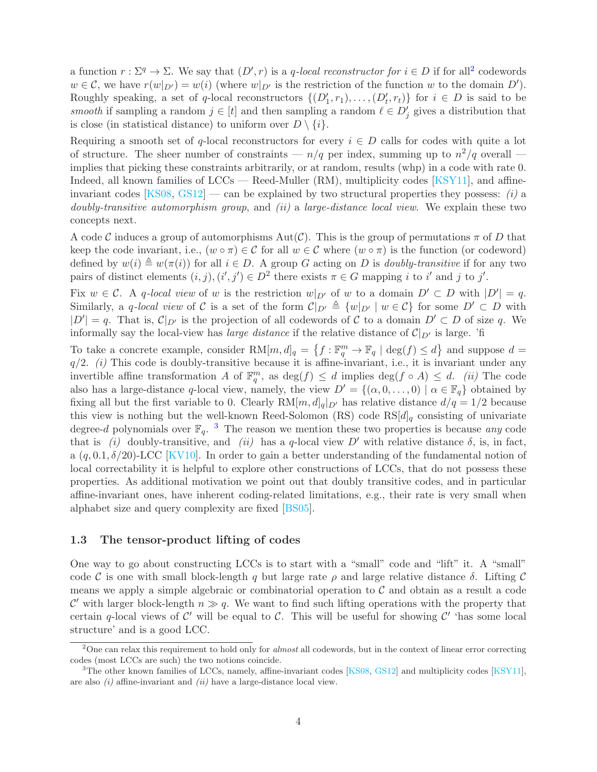a function  $r : \Sigma^q \to \Sigma$ . We say that  $(D', r)$  is a q-local reconstructor for  $i \in D$  if for all<sup>[2](#page-3-1)</sup> codewords  $w \in \mathcal{C}$ , we have  $r(w|_{D'}) = w(i)$  (where  $w|_{D'}$  is the restriction of the function w to the domain  $D'$ ). Roughly speaking, a set of q-local reconstructors  $\{(D'_1, r_1), \ldots, (D'_t, r_t)\}\;$  for  $i \in D$  is said to be smooth if sampling a random  $j \in [t]$  and then sampling a random  $l \in D'_j$  gives a distribution that is close (in statistical distance) to uniform over  $D \setminus \{i\}$ .

Requiring a smooth set of q-local reconstructors for every  $i \in D$  calls for codes with quite a lot of structure. The sheer number of constraints —  $n/q$  per index, summing up to  $n^2/q$  overall implies that picking these constraints arbitrarily, or at random, results (whp) in a code with rate 0. Indeed, all known families of LCCs — Reed-Muller (RM), multiplicity codes [\[KSY11\]](#page-36-1), and affine-invariant codes [\[KS08,](#page-36-2) [GS12\]](#page-35-1) — can be explained by two structural properties they possess: (i) a doubly-transitive automorphism group, and *(ii)* a large-distance local view. We explain these two concepts next.

A code C induces a group of automorphisms  $Aut(\mathcal{C})$ . This is the group of permutations  $\pi$  of D that keep the code invariant, i.e.,  $(w \circ \pi) \in \mathcal{C}$  for all  $w \in \mathcal{C}$  where  $(w \circ \pi)$  is the function (or codeword) defined by  $w(i) \triangleq w(\pi(i))$  for all  $i \in D$ . A group G acting on D is *doubly-transitive* if for any two pairs of distinct elements  $(i, j), (i', j') \in D^2$  there exists  $\pi \in G$  mapping i to i' and j to j'.

Fix  $w \in \mathcal{C}$ . A q-local view of w is the restriction  $w|_{D'}$  of w to a domain  $D' \subset D$  with  $|D'| = q$ . Similarly, a q-local view of C is a set of the form  $\mathcal{C}|_{D'} \triangleq \{w|_{D'} | w \in \mathcal{C}\}\)$  for some  $D' \subset D$  with  $|D'| = q$ . That is,  $\mathcal{C}|_{D'}$  is the projection of all codewords of C to a domain  $D' \subset D$  of size q. We informally say the local-view has *large distance* if the relative distance of  $\mathcal{C}|_{D'}$  is large. 'fi

To take a concrete example, consider  $RM[m, d]_q = \{f : \mathbb{F}_q^m \to \mathbb{F}_q \mid \deg(f) \leq d\}$  and suppose  $d =$  $q/2.$  (i) This code is doubly-transitive because it is affine-invariant, i.e., it is invariant under any invertible affine transformation A of  $\mathbb{F}_q^m$ , as  $\deg(f) \leq d$  implies  $\deg(f \circ A) \leq d$ . (ii) The code also has a large-distance q-local view, namely, the view  $D' = \{(\alpha, 0, \ldots, 0) \mid \alpha \in \mathbb{F}_q\}$  obtained by fixing all but the first variable to 0. Clearly  $RM[m,d]_q|_{D'}$  has relative distance  $d/q = 1/2$  because this view is nothing but the well-known Reed-Solomon (RS) code  $\text{RS}[d]_q$  consisting of univariate degree-d polynomials over  $\mathbb{F}_q$ . <sup>[3](#page-3-2)</sup> The reason we mention these two properties is because any code that is (i) doubly-transitive, and (ii) has a q-local view  $D'$  with relative distance  $\delta$ , is, in fact, a  $(q, 0.1, \delta/20)$ -LCC [\[KV10\]](#page-36-3). In order to gain a better understanding of the fundamental notion of local correctability it is helpful to explore other constructions of LCCs, that do not possess these properties. As additional motivation we point out that doubly transitive codes, and in particular affine-invariant ones, have inherent coding-related limitations, e.g., their rate is very small when alphabet size and query complexity are fixed [\[BS05\]](#page-34-0).

#### <span id="page-3-0"></span>1.3 The tensor-product lifting of codes

One way to go about constructing LCCs is to start with a "small" code and "lift" it. A "small" code C is one with small block-length q but large rate  $\rho$  and large relative distance  $\delta$ . Lifting C means we apply a simple algebraic or combinatorial operation to  $\mathcal C$  and obtain as a result a code C' with larger block-length  $n \gg q$ . We want to find such lifting operations with the property that certain q-local views of  $\mathcal{C}'$  will be equal to  $\mathcal{C}$ . This will be useful for showing  $\mathcal{C}'$  thas some local structure' and is a good LCC.

<span id="page-3-1"></span><sup>&</sup>lt;sup>2</sup>One can relax this requirement to hold only for *almost* all codewords, but in the context of linear error correcting codes (most LCCs are such) the two notions coincide.

<span id="page-3-2"></span> ${}^{3}$ The other known families of LCCs, namely, affine-invariant codes [\[KS08,](#page-36-2) [GS12\]](#page-35-1) and multiplicity codes [\[KSY11\]](#page-36-1), are also  $(i)$  affine-invariant and  $(ii)$  have a large-distance local view.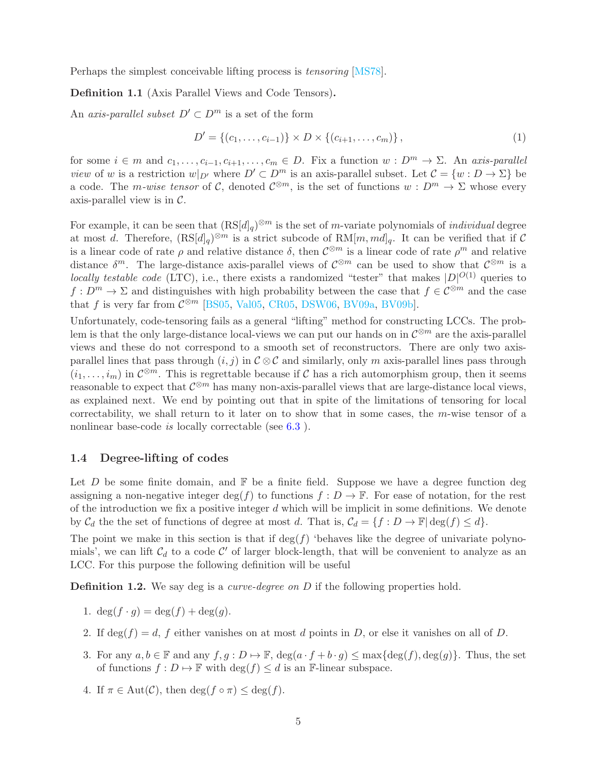Perhaps the simplest conceivable lifting process is tensoring [\[MS78\]](#page-36-4).

#### <span id="page-4-2"></span>Definition 1.1 (Axis Parallel Views and Code Tensors).

An axis-parallel subset  $D' \subset D^m$  is a set of the form

$$
D' = \{(c_1, \ldots, c_{i-1})\} \times D \times \{(c_{i+1}, \ldots, c_m)\},\tag{1}
$$

for some  $i \in m$  and  $c_1, \ldots, c_{i-1}, c_{i+1}, \ldots, c_m \in D$ . Fix a function  $w : D^m \to \Sigma$ . An axis-parallel view of w is a restriction  $w|_{D'}$  where  $D' \subset D^m$  is an axis-parallel subset. Let  $\mathcal{C} = \{w : D \to \Sigma\}$  be a code. The *m-wise tensor* of C, denoted  $\mathcal{C}^{\otimes m}$ , is the set of functions  $w: D^m \to \Sigma$  whose every axis-parallel view is in  $\mathcal{C}$ .

For example, it can be seen that  $(RS[d]_q)^{\otimes m}$  is the set of m-variate polynomials of *individual* degree at most d. Therefore,  $(RS[d]_q)^{\otimes m}$  is a strict subcode of  $RM[m,md]_q$ . It can be verified that if C is a linear code of rate  $\rho$  and relative distance  $\delta$ , then  $\mathcal{C}^{\otimes m}$  is a linear code of rate  $\rho^m$  and relative distance  $\delta^m$ . The large-distance axis-parallel views of  $\mathcal{C}^{\otimes m}$  can be used to show that  $\mathcal{C}^{\otimes m}$  is a locally testable code (LTC), i.e., there exists a randomized "tester" that makes  $|D|^{O(1)}$  queries to  $f: D^m \to \Sigma$  and distinguishes with high probability between the case that  $f \in C^{\otimes m}$  and the case that f is very far from  $\mathcal{C}^{\otimes m}$  [\[BS05,](#page-34-0) [Val05,](#page-37-2) [CR05,](#page-34-1) [DSW06,](#page-34-2) [BV09a,](#page-34-3) [BV09b\]](#page-34-4).

Unfortunately, code-tensoring fails as a general "lifting" method for constructing LCCs. The problem is that the only large-distance local-views we can put our hands on in  $\mathcal{C}^{\otimes m}$  are the axis-parallel views and these do not correspond to a smooth set of reconstructors. There are only two axisparallel lines that pass through  $(i, j)$  in  $C \otimes C$  and similarly, only m axis-parallel lines pass through  $(i_1,\ldots,i_m)$  in  $\mathcal{C}^{\otimes m}$ . This is regrettable because if C has a rich automorphism group, then it seems reasonable to expect that  $\mathcal{C}^{\otimes m}$  has many non-axis-parallel views that are large-distance local views, as explained next. We end by pointing out that in spite of the limitations of tensoring for local correctability, we shall return to it later on to show that in some cases, the m-wise tensor of a nonlinear base-code *is* locally correctable (see [6.3](#page-26-0)).

#### <span id="page-4-0"></span>1.4 Degree-lifting of codes

Let  $D$  be some finite domain, and  $\mathbb F$  be a finite field. Suppose we have a degree function deg assigning a non-negative integer deg(f) to functions  $f: D \to \mathbb{F}$ . For ease of notation, for the rest of the introduction we fix a positive integer  $d$  which will be implicit in some definitions. We denote by  $\mathcal{C}_d$  the the set of functions of degree at most d. That is,  $\mathcal{C}_d = \{f : D \to \mathbb{F} | \deg(f) \leq d\}.$ 

The point we make in this section is that if  $\deg(f)$  'behaves like the degree of univariate polynomials', we can lift  $C_d$  to a code C' of larger block-length, that will be convenient to analyze as an LCC. For this purpose the following definition will be useful

<span id="page-4-3"></span>**Definition 1.2.** We say deg is a *curve-degree on D* if the following properties hold.

- 1.  $\deg(f \cdot g) = \deg(f) + \deg(g)$ .
- 2. If  $\deg(f) = d$ , f either vanishes on at most d points in D, or else it vanishes on all of D.
- 3. For any  $a, b \in \mathbb{F}$  and any  $f, g : D \mapsto \mathbb{F}$ ,  $\deg(a \cdot f + b \cdot g) \leq \max\{\deg(f), \deg(g)\}\$ . Thus, the set of functions  $f : D \mapsto \mathbb{F}$  with  $\deg(f) \leq d$  is an F-linear subspace.
- <span id="page-4-1"></span>4. If  $\pi \in \text{Aut}(\mathcal{C})$ , then  $\deg(f \circ \pi) \leq \deg(f)$ .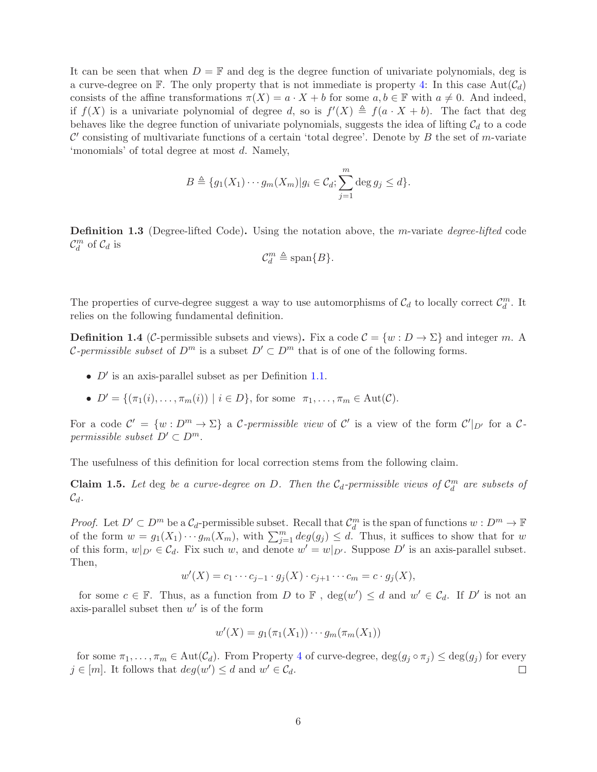It can be seen that when  $D = \mathbb{F}$  and deg is the degree function of univariate polynomials, deg is a curve-degree on F. The only property that is not immediate is property [4:](#page-4-1) In this case  $Aut(\mathcal{C}_d)$ consists of the affine transformations  $\pi(X) = a \cdot X + b$  for some  $a, b \in \mathbb{F}$  with  $a \neq 0$ . And indeed, if  $f(X)$  is a univariate polynomial of degree d, so is  $f'(X) \triangleq f(a \cdot X + b)$ . The fact that deg behaves like the degree function of univariate polynomials, suggests the idea of lifting  $\mathcal{C}_d$  to a code  $\mathcal{C}'$  consisting of multivariate functions of a certain 'total degree'. Denote by  $B$  the set of m-variate 'monomials' of total degree at most d. Namely,

$$
B \triangleq \{g_1(X_1)\cdots g_m(X_m)|g_i\in \mathcal{C}_d; \sum_{j=1}^m \deg g_j \leq d\}.
$$

<span id="page-5-0"></span>**Definition 1.3** (Degree-lifted Code). Using the notation above, the m-variate *degree-lifted* code  $\mathcal{C}_d^m$  of  $\mathcal{C}_d$  is

$$
\mathcal{C}_d^m \triangleq \text{span}\{B\}.
$$

The properties of curve-degree suggest a way to use automorphisms of  $\mathcal{C}_d$  to locally correct  $\mathcal{C}_d^m$ . It relies on the following fundamental definition.

<span id="page-5-1"></span>**Definition 1.4** (C-permissible subsets and views). Fix a code  $C = \{w : D \to \Sigma\}$  and integer m. A *C*-permissible subset of  $D^m$  is a subset  $D' \subset D^m$  that is of one of the following forms.

- $D'$  is an axis-parallel subset as per Definition [1.1.](#page-4-2)
- $D' = \{(\pi_1(i), \dots, \pi_m(i)) \mid i \in D\}$ , for some  $\pi_1, \dots, \pi_m \in \text{Aut}(\mathcal{C})$ .

For a code  $\mathcal{C}' = \{w : D^m \to \Sigma\}$  a C-permissible view of  $\mathcal{C}'$  is a view of the form  $\mathcal{C}'|_{D'}$  for a Cpermissible subset  $D' \subset D^m$ .

The usefulness of this definition for local correction stems from the following claim.

**Claim 1.5.** Let deg be a curve-degree on D. Then the  $C_d$ -permissible views of  $C_d^m$  are subsets of  $\mathcal{C}_d$ .

*Proof.* Let  $D' \subset D^m$  be a  $\mathcal{C}_d$ -permissible subset. Recall that  $\mathcal{C}_d^m$  is the span of functions  $w : D^m \to \mathbb{F}$ of the form  $w = g_1(X_1) \cdots g_m(X_m)$ , with  $\sum_{j=1}^m \deg(g_j) \leq d$ . Thus, it suffices to show that for w of this form,  $w|_{D'} \in \mathcal{C}_d$ . Fix such w, and denote  $w' = w|_{D'}$ . Suppose  $D'$  is an axis-parallel subset. Then,

$$
w'(X) = c_1 \cdots c_{j-1} \cdot g_j(X) \cdot c_{j+1} \cdots c_m = c \cdot g_j(X),
$$

for some  $c \in \mathbb{F}$ . Thus, as a function from D to  $\mathbb{F}$ ,  $deg(w') \leq d$  and  $w' \in C_d$ . If D' is not an axis-parallel subset then  $w'$  is of the form

$$
w'(X) = g_1(\pi_1(X_1)) \cdots g_m(\pi_m(X_1))
$$

for some  $\pi_1, \ldots, \pi_m \in \text{Aut}(\mathcal{C}_d)$ . From Property [4](#page-4-1) of curve-degree,  $\deg(g_j \circ \pi_j) \leq \deg(g_j)$  for every  $\in [m]$ . It follows that  $deg(w') \leq d$  and  $w' \in \mathcal{C}_d$ .  $j \in [m]$ . It follows that  $deg(w') \leq d$  and  $w' \in \mathcal{C}_d$ .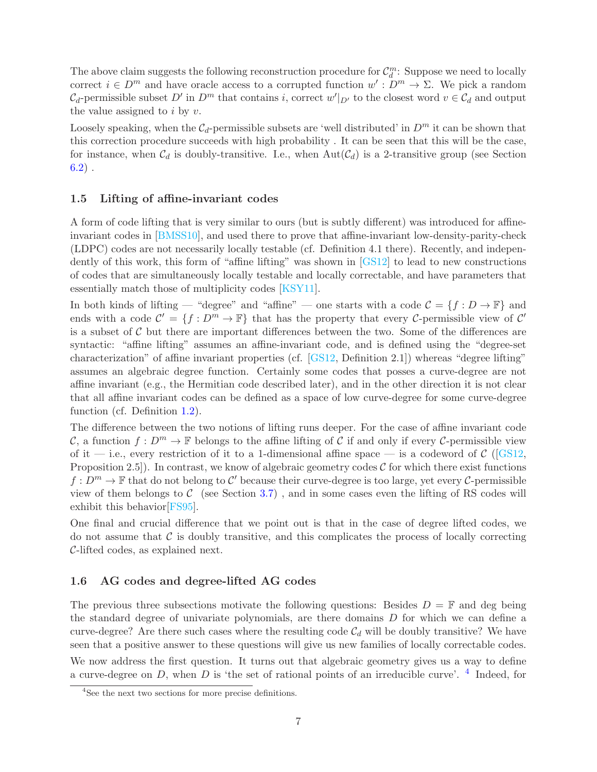The above claim suggests the following reconstruction procedure for  $\mathcal{C}_d^m$ : Suppose we need to locally correct  $i \in D^m$  and have oracle access to a corrupted function  $w' : D^m \to \Sigma$ . We pick a random  $\mathcal{C}_d$ -permissible subset D' in  $D^m$  that contains i, correct  $w'|_{D'}$  to the closest word  $v \in \mathcal{C}_d$  and output the value assigned to  $i$  by  $v$ .

Loosely speaking, when the  $C_d$ -permissible subsets are 'well distributed' in  $D^m$  it can be shown that this correction procedure succeeds with high probability . It can be seen that this will be the case, for instance, when  $C_d$  is doubly-transitive. I.e., when  $Aut(C_d)$  is a 2-transitive group (see Section  $6.2)$ .

### <span id="page-6-0"></span>1.5 Lifting of affine-invariant codes

A form of code lifting that is very similar to ours (but is subtly different) was introduced for affineinvariant codes in [\[BMSS10\]](#page-34-5), and used there to prove that affine-invariant low-density-parity-check (LDPC) codes are not necessarily locally testable (cf. Definition 4.1 there). Recently, and independently of this work, this form of "affine lifting" was shown in [\[GS12\]](#page-35-1) to lead to new constructions of codes that are simultaneously locally testable and locally correctable, and have parameters that essentially match those of multiplicity codes [\[KSY11\]](#page-36-1).

In both kinds of lifting — "degree" and "affine" — one starts with a code  $\mathcal{C} = \{f : D \to \mathbb{F}\}\$ and ends with a code  $\mathcal{C}' = \{f : D^m \to \mathbb{F}\}\$  that has the property that every C-permissible view of  $\mathcal{C}'$ is a subset of  $\mathcal C$  but there are important differences between the two. Some of the differences are syntactic: "affine lifting" assumes an affine-invariant code, and is defined using the "degree-set characterization" of affine invariant properties (cf. [\[GS12,](#page-35-1) Definition 2.1]) whereas "degree lifting" assumes an algebraic degree function. Certainly some codes that posses a curve-degree are not affine invariant (e.g., the Hermitian code described later), and in the other direction it is not clear that all affine invariant codes can be defined as a space of low curve-degree for some curve-degree function (cf. Definition [1.2\)](#page-4-3).

The difference between the two notions of lifting runs deeper. For the case of affine invariant code C, a function  $f: D^m \to \mathbb{F}$  belongs to the affine lifting of C if and only if every C-permissible view of it — i.e., every restriction of it to a 1-dimensional affine space — is a codeword of  $\mathcal{C}$  ([\[GS12,](#page-35-1) Proposition 2.5]). In contrast, we know of algebraic geometry codes  $\mathcal C$  for which there exist functions  $f: D^m \to \mathbb{F}$  that do not belong to  $\mathcal{C}'$  because their curve-degree is too large, yet every  $\mathcal{C}$ -permissible view of them belongs to  $C$  (see Section [3.7\)](#page-16-1), and in some cases even the lifting of RS codes will exhibit this behavior[\[FS95\]](#page-35-2).

One final and crucial difference that we point out is that in the case of degree lifted codes, we do not assume that  $\mathcal C$  is doubly transitive, and this complicates the process of locally correcting C-lifted codes, as explained next.

#### <span id="page-6-1"></span>1.6 AG codes and degree-lifted AG codes

The previous three subsections motivate the following questions: Besides  $D = \mathbb{F}$  and deg being the standard degree of univariate polynomials, are there domains D for which we can define a curve-degree? Are there such cases where the resulting code  $C_d$  will be doubly transitive? We have seen that a positive answer to these questions will give us new families of locally correctable codes.

We now address the first question. It turns out that algebraic geometry gives us a way to define a curve-degree on D, when D is 'the set of rational points of an irreducible curve'.  $4$  Indeed, for

<span id="page-6-2"></span><sup>4</sup>See the next two sections for more precise definitions.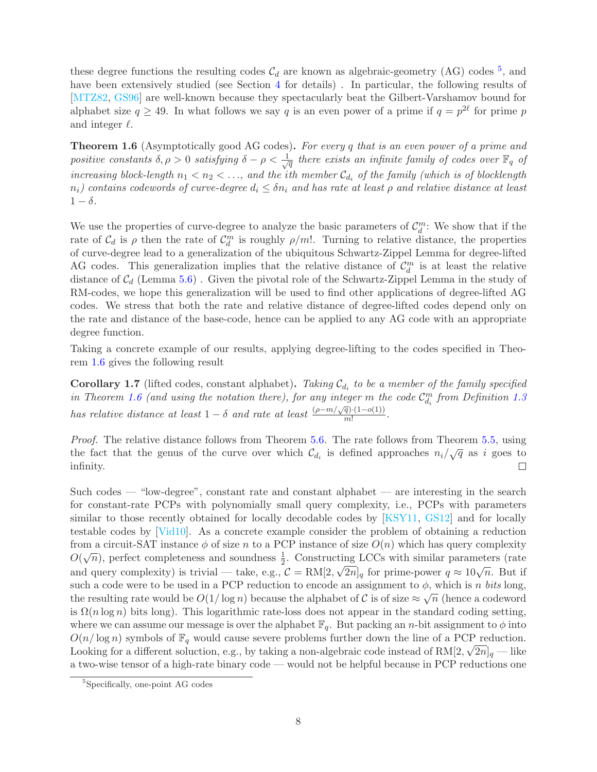these degree functions the resulting codes  $C_d$  are known as algebraic-geometry (AG) codes <sup>[5](#page-7-0)</sup>, and have been extensively studied (see Section [4](#page-17-0) for details). In particular, the following results of [\[MTZ82,](#page-36-5) [GS96\]](#page-35-3) are well-known because they spectacularly beat the Gilbert-Varshamov bound for alphabet size  $q \ge 49$ . In what follows we say q is an even power of a prime if  $q = p^{2\ell}$  for prime p and integer  $\ell$ .

<span id="page-7-1"></span>**Theorem 1.6** (Asymptotically good AG codes). For every q that is an even power of a prime and positive constants  $\delta, \rho > 0$  satisfying  $\delta - \rho < \frac{1}{\sqrt{\rho}}$  $\overline{\overline{q}}$  there exists an infinite family of codes over  $\mathbb{F}_q$  of increasing block-length  $n_1 < n_2 < \ldots$ , and the ith member  $\mathcal{C}_{d_i}$  of the family (which is of blocklength  $n_i$ ) contains codewords of curve-degree  $d_i \leq \delta n_i$  and has rate at least  $\rho$  and relative distance at least  $1 - \delta$ .

We use the properties of curve-degree to analyze the basic parameters of  $\mathcal{C}_d^m$ : We show that if the rate of  $\mathcal{C}_d$  is  $\rho$  then the rate of  $\mathcal{C}_d^m$  is roughly  $\rho/m!$ . Turning to relative distance, the properties of curve-degree lead to a generalization of the ubiquitous Schwartz-Zippel Lemma for degree-lifted AG codes. This generalization implies that the relative distance of  $\mathcal{C}_d^m$  is at least the relative distance of  $\mathcal{C}_d$  (Lemma [5.6\)](#page-21-2). Given the pivotal role of the Schwartz-Zippel Lemma in the study of RM-codes, we hope this generalization will be used to find other applications of degree-lifted AG codes. We stress that both the rate and relative distance of degree-lifted codes depend only on the rate and distance of the base-code, hence can be applied to any AG code with an appropriate degree function.

Taking a concrete example of our results, applying degree-lifting to the codes specified in Theorem [1.6](#page-7-1) gives the following result

<span id="page-7-2"></span>**Corollary 1.7** (lifted codes, constant alphabet). Taking  $C_{d_i}$  to be a member of the family specified in Theorem [1.6](#page-7-1) (and using the notation there), for any integer m the code  $\mathcal{C}_{d_i}^m$  from Definition [1.3](#page-5-0) has relative distance at least  $1 - \delta$  and rate at least  $\frac{(\rho - m/\sqrt{q})(1 - o(1))}{m!}$ .

Proof. The relative distance follows from Theorem [5.6.](#page-21-2) The rate follows from Theorem [5.5,](#page-21-3) using the fact that the genus of the curve over which  $\mathcal{C}_{d_i}$  is defined approaches  $n_i/\sqrt{q}$  as i goes to infinity.  $\Box$ 

Such codes — "low-degree", constant rate and constant alphabet — are interesting in the search for constant-rate PCPs with polynomially small query complexity, i.e., PCPs with parameters similar to those recently obtained for locally decodable codes by [\[KSY11,](#page-36-1) [GS12\]](#page-35-1) and for locally testable codes by [\[Vid10\]](#page-37-3). As a concrete example consider the problem of obtaining a reduction from a circuit-SAT instance  $\phi$  of size n to a PCP instance of size  $O(n)$  which has query complexity  $O(\sqrt{n})$ , perfect completeness and soundness  $\frac{1}{2}$ . Constructing LCCs with similar parameters (rate and query complexity) is trivial — take, e.g.,  $\mathcal{C} = \text{RM}[2, \sqrt{2n}]_q$  for prime-power  $q \approx 10\sqrt{n}$ . But if such a code were to be used in a PCP reduction to encode an assignment to  $\phi$ , which is n bits long, the resulting rate would be  $O(1/\log n)$  because the alphabet of C is of size  $\approx \sqrt{n}$  (hence a codeword is  $\Omega(n \log n)$  bits long). This logarithmic rate-loss does not appear in the standard coding setting, where we can assume our message is over the alphabet  $\mathbb{F}_q$ . But packing an *n*-bit assignment to  $\phi$  into  $O(n/\log n)$  symbols of  $\mathbb{F}_q$  would cause severe problems further down the line of a PCP reduction. Looking for a different soluction, e.g., by taking a non-algebraic code instead of  $RM[2, \sqrt{2n}]_q$  — like a two-wise tensor of a high-rate binary code — would not be helpful because in PCP reductions one

<span id="page-7-0"></span><sup>5</sup>Specifically, one-point AG codes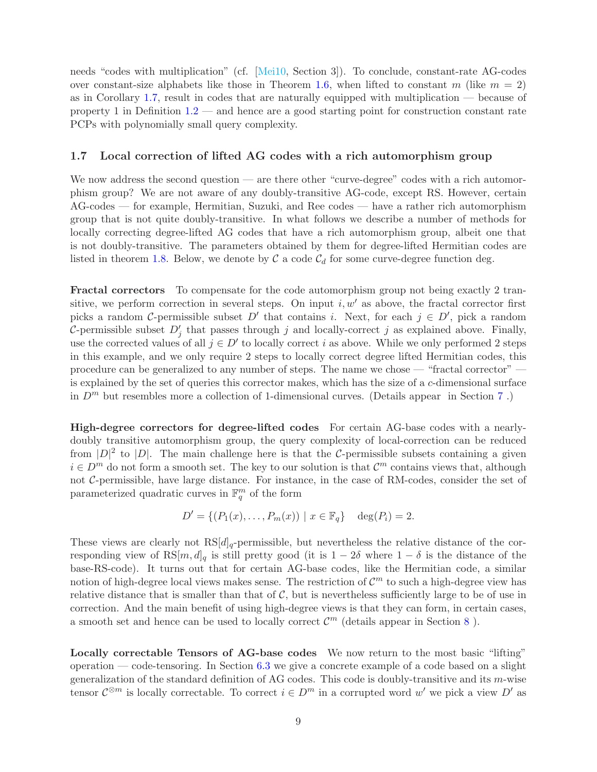needs "codes with multiplication" (cf. [\[Mei10,](#page-36-6) Section 3]). To conclude, constant-rate AG-codes over constant-size alphabets like those in Theorem [1.6,](#page-7-1) when lifted to constant m (like  $m = 2$ ) as in Corollary [1.7,](#page-7-2) result in codes that are naturally equipped with multiplication — because of property 1 in Definition  $1.2$  — and hence are a good starting point for construction constant rate PCPs with polynomially small query complexity.

## <span id="page-8-0"></span>1.7 Local correction of lifted AG codes with a rich automorphism group

We now address the second question — are there other "curve-degree" codes with a rich automorphism group? We are not aware of any doubly-transitive AG-code, except RS. However, certain AG-codes — for example, Hermitian, Suzuki, and Ree codes — have a rather rich automorphism group that is not quite doubly-transitive. In what follows we describe a number of methods for locally correcting degree-lifted AG codes that have a rich automorphism group, albeit one that is not doubly-transitive. The parameters obtained by them for degree-lifted Hermitian codes are listed in theorem [1.8.](#page-9-2) Below, we denote by  $\mathcal C$  a code  $\mathcal C_d$  for some curve-degree function deg.

Fractal correctors To compensate for the code automorphism group not being exactly 2 transitive, we perform correction in several steps. On input  $i, w'$  as above, the fractal corrector first picks a random C-permissible subset D' that contains i. Next, for each  $j \in D'$ , pick a random C-permissible subset  $D'_j$  that passes through j and locally-correct j as explained above. Finally, use the corrected values of all  $j \in D'$  to locally correct i as above. While we only performed 2 steps in this example, and we only require 2 steps to locally correct degree lifted Hermitian codes, this procedure can be generalized to any number of steps. The name we chose — "fractal corrector" is explained by the set of queries this corrector makes, which has the size of a c-dimensional surface in  $D^m$  but resembles more a collection of 1-dimensional curves. (Details appear in Section [7](#page-27-0).)

High-degree correctors for degree-lifted codes For certain AG-base codes with a nearlydoubly transitive automorphism group, the query complexity of local-correction can be reduced from  $|D|^2$  to  $|D|$ . The main challenge here is that the C-permissible subsets containing a given  $i \in D<sup>m</sup>$  do not form a smooth set. The key to our solution is that  $\mathcal{C}<sup>m</sup>$  contains views that, although not C-permissible, have large distance. For instance, in the case of RM-codes, consider the set of parameterized quadratic curves in  $\mathbb{F}_q^m$  of the form

$$
D' = \{ (P_1(x), \dots, P_m(x)) \mid x \in \mathbb{F}_q \} \text{ deg}(P_i) = 2.
$$

These views are clearly not  $RS[d]_q$ -permissible, but nevertheless the relative distance of the corresponding view of RS[m, d]<sub>q</sub> is still pretty good (it is  $1 - 2\delta$  where  $1 - \delta$  is the distance of the base-RS-code). It turns out that for certain AG-base codes, like the Hermitian code, a similar notion of high-degree local views makes sense. The restriction of  $\mathcal{C}^m$  to such a high-degree view has relative distance that is smaller than that of  $\mathcal{C}$ , but is nevertheless sufficiently large to be of use in correction. And the main benefit of using high-degree views is that they can form, in certain cases, a smooth set and hence can be used to locally correct  $\mathcal{C}^m$  (details appear in Section [8](#page-30-0)).

Locally correctable Tensors of AG-base codes We now return to the most basic "lifting" operation — code-tensoring. In Section [6.3](#page-26-0) we give a concrete example of a code based on a slight generalization of the standard definition of AG codes. This code is doubly-transitive and its m-wise tensor  $\mathcal{C}^{\otimes m}$  is locally correctable. To correct  $i \in D^m$  in a corrupted word w' we pick a view  $D'$  as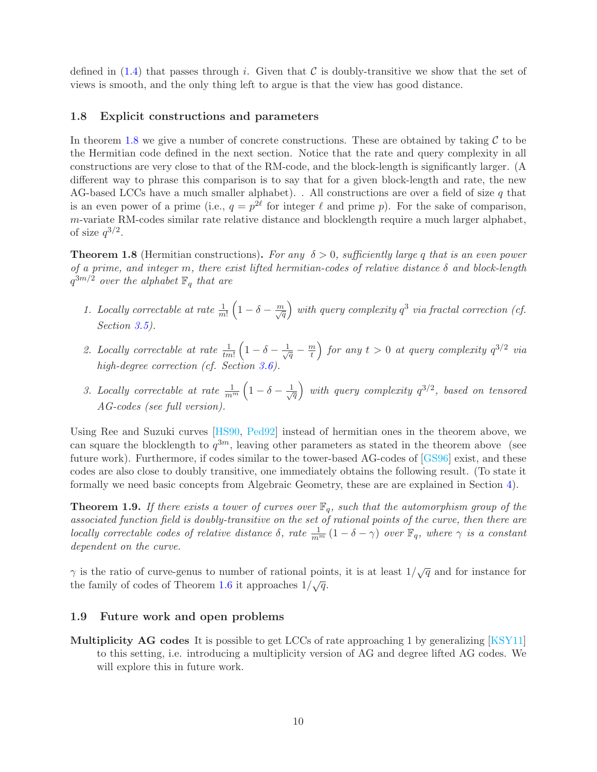defined in  $(1.4)$  that passes through i. Given that C is doubly-transitive we show that the set of views is smooth, and the only thing left to argue is that the view has good distance.

#### <span id="page-9-0"></span>1.8 Explicit constructions and parameters

In theorem [1.8](#page-9-2) we give a number of concrete constructions. These are obtained by taking  $\mathcal C$  to be the Hermitian code defined in the next section. Notice that the rate and query complexity in all constructions are very close to that of the RM-code, and the block-length is significantly larger. (A different way to phrase this comparison is to say that for a given block-length and rate, the new AG-based LCCs have a much smaller alphabet). . All constructions are over a field of size  $q$  that is an even power of a prime (i.e.,  $q = p^{2\ell}$  for integer  $\ell$  and prime p). For the sake of comparison, m-variate RM-codes similar rate relative distance and blocklength require a much larger alphabet, of size  $q^{3/2}$ .

<span id="page-9-2"></span>**Theorem 1.8** (Hermitian constructions). For any  $\delta > 0$ , sufficiently large q that is an even power of a prime, and integer m, there exist lifted hermitian-codes of relative distance  $\delta$  and block-length  $q^{3m/2}$  over the alphabet  $\mathbb{F}_q$  that are

- 1. Locally correctable at rate  $\frac{1}{m!}\left(1-\delta-\frac{m}{\sqrt{q}}\right)$  with query complexity  $q^3$  via fractal correction (cf. Section [3.5\)](#page-15-0).
- 2. Locally correctable at rate  $\frac{1}{t m!} \left(1 \delta \frac{1}{\sqrt{q}} \frac{m}{t}\right)$  $\left(\frac{m}{t}\right)$  for any  $t > 0$  at query complexity  $q^{3/2}$  via high-degree correction (cf. Section [3.6\)](#page-16-0).
- 3. Locally correctable at rate  $\frac{1}{m^m}\left(1-\delta-\frac{1}{\sqrt{n}}\right)$  $\left(\frac{1}{q}\right)$  with query complexity  $q^{3/2}$ , based on tensored AG-codes (see full version).

Using Ree and Suzuki curves [\[HS90,](#page-35-4) [Ped92\]](#page-36-7) instead of hermitian ones in the theorem above, we can square the blocklength to  $q^{3m}$ , leaving other parameters as stated in the theorem above (see future work). Furthermore, if codes similar to the tower-based AG-codes of [\[GS96\]](#page-35-3) exist, and these codes are also close to doubly transitive, one immediately obtains the following result. (To state it formally we need basic concepts from Algebraic Geometry, these are are explained in Section [4\)](#page-17-0).

**Theorem 1.9.** If there exists a tower of curves over  $\mathbb{F}_q$ , such that the automorphism group of the associated function field is doubly-transitive on the set of rational points of the curve, then there are locally correctable codes of relative distance  $\delta$ , rate  $\frac{1}{m^m}(1-\delta-\gamma)$  over  $\mathbb{F}_q$ , where  $\gamma$  is a constant dependent on the curve.

 $\gamma$  is the ratio of curve-genus to number of rational points, it is at least  $1/\sqrt{q}$  and for instance for the family of codes of Theorem [1.6](#page-7-1) it approaches  $1/\sqrt{q}$ .

#### <span id="page-9-1"></span>1.9 Future work and open problems

Multiplicity AG codes It is possible to get LCCs of rate approaching 1 by generalizing [\[KSY11\]](#page-36-1) to this setting, i.e. introducing a multiplicity version of AG and degree lifted AG codes. We will explore this in future work.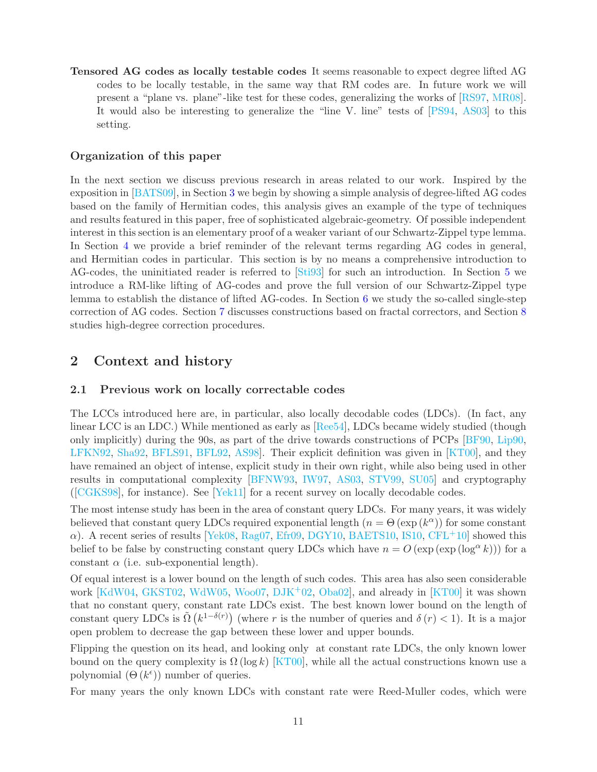Tensored AG codes as locally testable codes It seems reasonable to expect degree lifted AG codes to be locally testable, in the same way that RM codes are. In future work we will present a "plane vs. plane"-like test for these codes, generalizing the works of [\[RS97,](#page-37-4) [MR08\]](#page-36-8). It would also be interesting to generalize the "line V. line" tests of [\[PS94,](#page-37-5) [AS03\]](#page-33-0) to this setting.

## Organization of this paper

In the next section we discuss previous research in areas related to our work. Inspired by the exposition in [\[BATS09\]](#page-33-1), in Section [3](#page-11-2) we begin by showing a simple analysis of degree-lifted AG codes based on the family of Hermitian codes, this analysis gives an example of the type of techniques and results featured in this paper, free of sophisticated algebraic-geometry. Of possible independent interest in this section is an elementary proof of a weaker variant of our Schwartz-Zippel type lemma. In Section [4](#page-17-0) we provide a brief reminder of the relevant terms regarding AG codes in general, and Hermitian codes in particular. This section is by no means a comprehensive introduction to AG-codes, the uninitiated reader is referred to [\[Sti93\]](#page-37-6) for such an introduction. In Section [5](#page-20-0) we introduce a RM-like lifting of AG-codes and prove the full version of our Schwartz-Zippel type lemma to establish the distance of lifted AG-codes. In Section [6](#page-22-0) we study the so-called single-step correction of AG codes. Section [7](#page-27-0) discusses constructions based on fractal correctors, and Section [8](#page-30-0) studies high-degree correction procedures.

# <span id="page-10-1"></span><span id="page-10-0"></span>2 Context and history

### 2.1 Previous work on locally correctable codes

The LCCs introduced here are, in particular, also locally decodable codes (LDCs). (In fact, any linear LCC is an LDC.) While mentioned as early as [\[Ree54\]](#page-37-7), LDCs became widely studied (though only implicitly) during the 90s, as part of the drive towards constructions of PCPs [\[BF90,](#page-33-2) [Lip90,](#page-36-9) [LFKN92,](#page-36-10) [Sha92,](#page-37-8) [BFLS91,](#page-33-3) [BFL92,](#page-33-4) [AS98\]](#page-33-5). Their explicit definition was given in [\[KT00\]](#page-36-0), and they have remained an object of intense, explicit study in their own right, while also being used in other results in computational complexity [\[BFNW93,](#page-33-6) [IW97,](#page-35-5) [AS03,](#page-33-0) [STV99,](#page-37-9) [SU05\]](#page-37-10) and cryptography ([\[CGKS98\]](#page-34-6), for instance). See [\[Yek11\]](#page--1-2) for a recent survey on locally decodable codes.

The most intense study has been in the area of constant query LDCs. For many years, it was widely believed that constant query LDCs required exponential length  $(n = \Theta(\exp(k^{\alpha}))$  for some constant  $\alpha$ ). A recent series of results [\[Yek08,](#page--1-3) [Rag07,](#page-37-11) [Efr09,](#page-35-6) [DGY10,](#page-34-7) [BAETS10,](#page-33-7) [IS10,](#page-35-7) [CFL](#page-34-8)<sup>+</sup>10] showed this belief to be false by constructing constant query LDCs which have  $n = O(\exp(\exp(\log^{\alpha} k)))$  for a constant  $\alpha$  (i.e. sub-exponential length).

Of equal interest is a lower bound on the length of such codes. This area has also seen considerable work [\[KdW04,](#page-35-8) [GKST02,](#page-35-9) [WdW05,](#page--1-4) [Woo07,](#page--1-5) [DJK](#page-34-9)<sup>+</sup>02, [Oba02\]](#page-36-11), and already in [\[KT00\]](#page-36-0) it was shown that no constant query, constant rate LDCs exist. The best known lower bound on the length of constant query LDCs is  $\tilde{\Omega}(k^{1-\delta(r)})$  (where r is the number of queries and  $\delta(r) < 1$ ). It is a major open problem to decrease the gap between these lower and upper bounds.

Flipping the question on its head, and looking only at constant rate LDCs, the only known lower bound on the query complexity is  $\Omega(\log k)$  [\[KT00\]](#page-36-0), while all the actual constructions known use a polynomial  $(\Theta(k^{\epsilon}))$  number of queries.

For many years the only known LDCs with constant rate were Reed-Muller codes, which were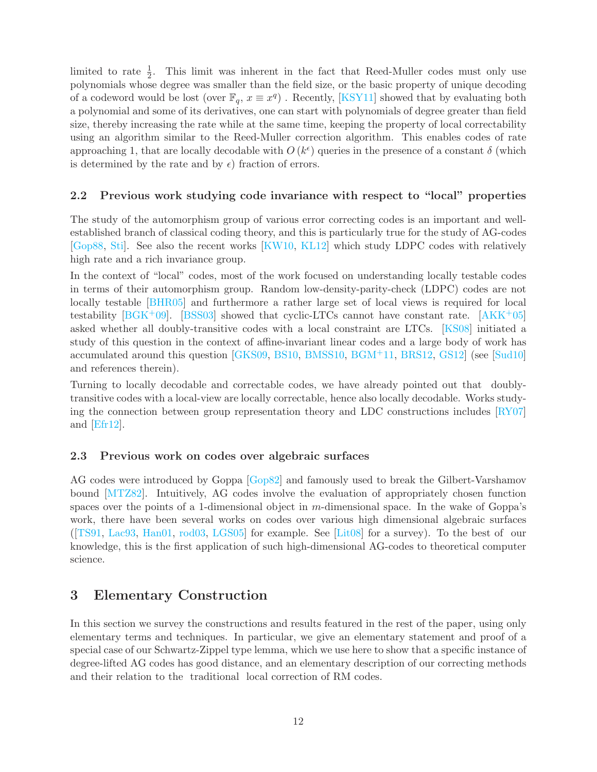limited to rate  $\frac{1}{2}$ . This limit was inherent in the fact that Reed-Muller codes must only use polynomials whose degree was smaller than the field size, or the basic property of unique decoding of a codeword would be lost (over  $\mathbb{F}_q$ ,  $x \equiv x^q$ ). Recently, [\[KSY11\]](#page-36-1) showed that by evaluating both a polynomial and some of its derivatives, one can start with polynomials of degree greater than field size, thereby increasing the rate while at the same time, keeping the property of local correctability using an algorithm similar to the Reed-Muller correction algorithm. This enables codes of rate approaching 1, that are locally decodable with  $O(k^{\epsilon})$  queries in the presence of a constant  $\delta$  (which is determined by the rate and by  $\epsilon$ ) fraction of errors.

# <span id="page-11-0"></span>2.2 Previous work studying code invariance with respect to "local" properties

The study of the automorphism group of various error correcting codes is an important and wellestablished branch of classical coding theory, and this is particularly true for the study of AG-codes [\[Gop88,](#page-35-10) [Sti\]](#page-37-12). See also the recent works [\[KW10,](#page-36-12) [KL12\]](#page-35-11) which study LDPC codes with relatively high rate and a rich invariance group.

In the context of "local" codes, most of the work focused on understanding locally testable codes in terms of their automorphism group. Random low-density-parity-check (LDPC) codes are not locally testable [\[BHR05\]](#page-34-10) and furthermore a rather large set of local views is required for local testability [ $B G K^+ 09$ ]. [\[BSS03\]](#page-34-11) showed that cyclic-LTCs cannot have constant rate. [ $AKK^+ 05$ ] asked whether all doubly-transitive codes with a local constraint are LTCs. [\[KS08\]](#page-36-2) initiated a study of this question in the context of affine-invariant linear codes and a large body of work has accumulated around this question [\[GKS09,](#page-35-12) [BS10,](#page-34-12) [BMSS10,](#page-34-5) [BGM](#page-33-10)+11, [BRS12,](#page-34-13) [GS12\]](#page-35-1) (see [\[Sud10\]](#page-37-13) and references therein).

Turning to locally decodable and correctable codes, we have already pointed out that doublytransitive codes with a local-view are locally correctable, hence also locally decodable. Works studying the connection between group representation theory and LDC constructions includes [\[RY07\]](#page-37-14) and [\[Efr12\]](#page-35-13).

### <span id="page-11-1"></span>2.3 Previous work on codes over algebraic surfaces

AG codes were introduced by Goppa [\[Gop82\]](#page-35-14) and famously used to break the Gilbert-Varshamov bound [\[MTZ82\]](#page-36-5). Intuitively, AG codes involve the evaluation of appropriately chosen function spaces over the points of a 1-dimensional object in  $m$ -dimensional space. In the wake of Goppa's work, there have been several works on codes over various high dimensional algebraic surfaces ( $[TS91, Lac93, Han01, rod03, LGS05]$  $[TS91, Lac93, Han01, rod03, LGS05]$  $[TS91, Lac93, Han01, rod03, LGS05]$  $[TS91, Lac93, Han01, rod03, LGS05]$  $[TS91, Lac93, Han01, rod03, LGS05]$  $[TS91, Lac93, Han01, rod03, LGS05]$  $[TS91, Lac93, Han01, rod03, LGS05]$  $[TS91, Lac93, Han01, rod03, LGS05]$  $[TS91, Lac93, Han01, rod03, LGS05]$  for example. See [\[Lit08\]](#page-36-15) for a survey). To the best of our knowledge, this is the first application of such high-dimensional AG-codes to theoretical computer science.

# <span id="page-11-2"></span>3 Elementary Construction

In this section we survey the constructions and results featured in the rest of the paper, using only elementary terms and techniques. In particular, we give an elementary statement and proof of a special case of our Schwartz-Zippel type lemma, which we use here to show that a specific instance of degree-lifted AG codes has good distance, and an elementary description of our correcting methods and their relation to the traditional local correction of RM codes.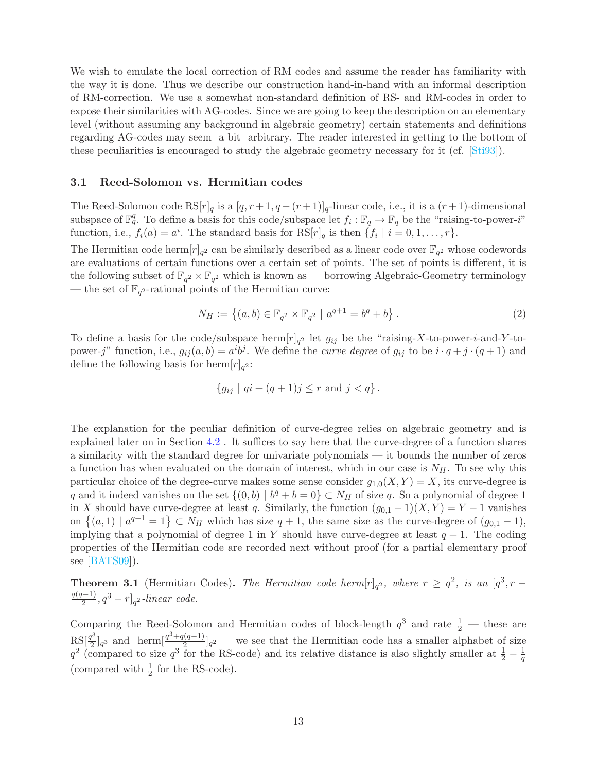We wish to emulate the local correction of RM codes and assume the reader has familiarity with the way it is done. Thus we describe our construction hand-in-hand with an informal description of RM-correction. We use a somewhat non-standard definition of RS- and RM-codes in order to expose their similarities with AG-codes. Since we are going to keep the description on an elementary level (without assuming any background in algebraic geometry) certain statements and definitions regarding AG-codes may seem a bit arbitrary. The reader interested in getting to the bottom of these peculiarities is encouraged to study the algebraic geometry necessary for it (cf. [\[Sti93\]](#page-37-6)).

#### <span id="page-12-0"></span>3.1 Reed-Solomon vs. Hermitian codes

The Reed-Solomon code  $\text{RS}[r]_q$  is a  $[q, r+1, q - (r+1)]_q$ -linear code, i.e., it is a  $(r+1)$ -dimensional subspace of  $\mathbb{F}_q^q$ . To define a basis for this code/subspace let  $f_i : \mathbb{F}_q \to \mathbb{F}_q$  be the "raising-to-power-i" function, i.e.,  $f_i(a) = a^i$ . The standard basis for  $RS[r]_q$  is then  $\{f_i \mid i = 0, 1, ..., r\}$ .

The Hermitian code herm  $[r]_{q^2}$  can be similarly described as a linear code over  $\mathbb{F}_{q^2}$  whose codewords are evaluations of certain functions over a certain set of points. The set of points is different, it is the following subset of  $\mathbb{F}_{q^2} \times \mathbb{F}_{q^2}$  which is known as — borrowing Algebraic-Geometry terminology — the set of  $\mathbb{F}_{q^2}$ -rational points of the Hermitian curve:

$$
N_H := \left\{ (a, b) \in \mathbb{F}_{q^2} \times \mathbb{F}_{q^2} \mid a^{q+1} = b^q + b \right\}.
$$
 (2)

To define a basis for the code/subspace herm  $[r]_{q^2}$  let  $g_{ij}$  be the "raising-X-to-power-*i*-and-Y-topower-j" function, i.e.,  $g_{ij}(a, b) = a^i b^j$ . We define the *curve degree* of  $g_{ij}$  to be  $i \cdot q + j \cdot (q + 1)$  and define the following basis for  $\text{herm}[r]_{q^2}$ :

$$
\{g_{ij} \mid qi + (q+1)j \le r \text{ and } j < q\}.
$$

The explanation for the peculiar definition of curve-degree relies on algebraic geometry and is explained later on in Section [4.2](#page-19-0) . It suffices to say here that the curve-degree of a function shares a similarity with the standard degree for univariate polynomials — it bounds the number of zeros a function has when evaluated on the domain of interest, which in our case is  $N_H$ . To see why this particular choice of the degree-curve makes some sense consider  $g_{1,0}(X, Y) = X$ , its curve-degree is q and it indeed vanishes on the set  $\{(0,b) | b^q + b = 0\} \subset N_H$  of size q. So a polynomial of degree 1 in X should have curve-degree at least q. Similarly, the function  $(g_{0,1} - 1)(X, Y) = Y - 1$  vanishes on  $\{(a,1) | a^{q+1}=1\} \subset N_H$  which has size  $q+1$ , the same size as the curve-degree of  $(g_{0,1}-1)$ , implying that a polynomial of degree 1 in Y should have curve-degree at least  $q + 1$ . The coding properties of the Hermitian code are recorded next without proof (for a partial elementary proof see [\[BATS09\]](#page-33-1)).

<span id="page-12-1"></span>**Theorem 3.1** (Hermitian Codes). The Hermitian code herm $[r]_{q^2}$ , where  $r \geq q^2$ , is an  $[q^3, r \frac{q(q-1)}{2}$ ,  $q^3 - r$ ]<sub>q</sub>2-linear code.

Comparing the Reed-Solomon and Hermitian codes of block-length  $q^3$  and rate  $\frac{1}{2}$  — these are  $RS[\frac{q^3}{2}]$  $\frac{q^3}{2}|_{q^3}$  and herm $\left[\frac{q^3+q(q-1)}{2}\right]_{q^2}$  — we see that the Hermitian code has a smaller alphabet of size  $q^2$  (compared to size  $q^3$  for the RS-code) and its relative distance is also slightly smaller at  $\frac{1}{2} - \frac{1}{q}$ q (compared with  $\frac{1}{2}$  for the RS-code).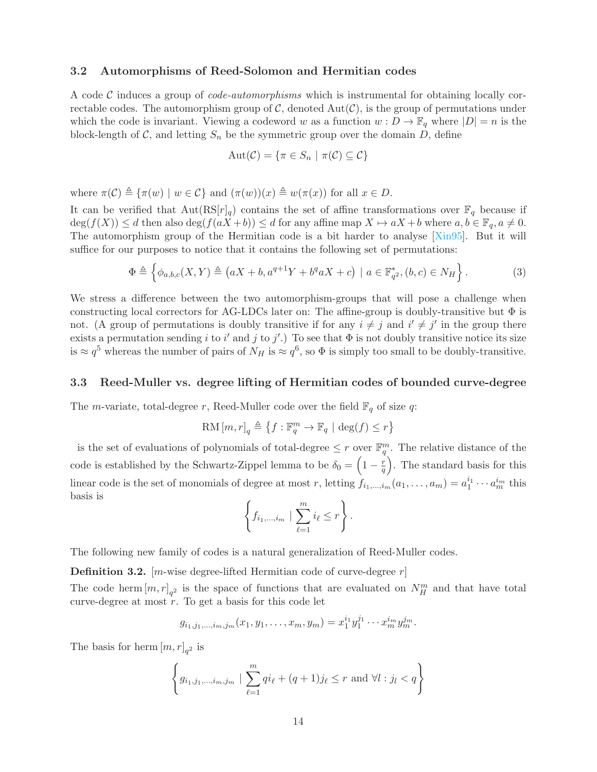#### <span id="page-13-0"></span>3.2 Automorphisms of Reed-Solomon and Hermitian codes

A code C induces a group of *code-automorphisms* which is instrumental for obtaining locally correctable codes. The automorphism group of  $\mathcal{C}$ , denoted  $Aut(\mathcal{C})$ , is the group of permutations under which the code is invariant. Viewing a codeword w as a function  $w : D \to \mathbb{F}_q$  where  $|D| = n$  is the block-length of  $\mathcal{C}$ , and letting  $S_n$  be the symmetric group over the domain D, define

$$
Aut(\mathcal{C}) = \{ \pi \in S_n \mid \pi(\mathcal{C}) \subseteq \mathcal{C} \}
$$

where  $\pi(\mathcal{C}) \triangleq {\pi(w) | w \in \mathcal{C}}$  and  $(\pi(w))(x) \triangleq w(\pi(x))$  for all  $x \in D$ .

It can be verified that  $Aut(RS[r]_q)$  contains the set of affine transformations over  $\mathbb{F}_q$  because if  $\deg(f(X)) \leq d$  then also  $\deg(f(aX + b)) \leq d$  for any affine map  $X \mapsto aX + b$  where  $a, b \in \mathbb{F}_q$ ,  $a \neq 0$ . The automorphism group of the Hermitian code is a bit harder to analyse [\[Xin95\]](#page--1-6). But it will suffice for our purposes to notice that it contains the following set of permutations:

<span id="page-13-2"></span>
$$
\Phi \triangleq \left\{ \phi_{a,b,c}(X,Y) \triangleq \left( aX + b, a^{q+1}Y + b^q aX + c \right) \mid a \in \mathbb{F}_{q^2}^*, (b,c) \in N_H \right\}.
$$
 (3)

We stress a difference between the two automorphism-groups that will pose a challenge when constructing local correctors for AG-LDCs later on: The affine-group is doubly-transitive but  $\Phi$  is not. (A group of permutations is doubly transitive if for any  $i \neq j$  and  $i' \neq j'$  in the group there exists a permutation sending i to i' and j to j'.) To see that  $\Phi$  is not doubly transitive notice its size is  $\approx q^5$  whereas the number of pairs of  $N_H$  is  $\approx q^6$ , so  $\Phi$  is simply too small to be doubly-transitive.

#### <span id="page-13-1"></span>3.3 Reed-Muller vs. degree lifting of Hermitian codes of bounded curve-degree

The *m*-variate, total-degree r, Reed-Muller code over the field  $\mathbb{F}_q$  of size q:

$$
{\rm RM}\,[m,r]_q \triangleq \left\{f: \mathbb{F}_q^m \to \mathbb{F}_q \ | \ \deg(f) \leq r \right\}
$$

is the set of evaluations of polynomials of total-degree  $\leq r$  over  $\mathbb{F}_q^m$ . The relative distance of the code is established by the Schwartz-Zippel lemma to be  $\delta_0 = \left(1 - \frac{r}{q}\right)$  $\left(\frac{r}{q}\right)$ . The standard basis for this linear code is the set of monomials of degree at most r, letting  $f_{i_1,\dots,i_m}(a_1,\dots,a_m) = a_1^{i_1}\cdots a_m^{i_m}$  this basis is

$$
\left\{f_{i_1,\dots,i_m} \mid \sum_{\ell=1}^m i_\ell \leq r\right\}.
$$

The following new family of codes is a natural generalization of Reed-Muller codes.

**Definition 3.2.** [*m*-wise degree-lifted Hermitian code of curve-degree  $r$ ]

The code herm  $[m,r]_{q^2}$  is the space of functions that are evaluated on  $N_H^m$  and that have total curve-degree at most  $r$ . To get a basis for this code let

$$
g_{i_1,j_1,...,i_m,j_m}(x_1,y_1,...,x_m,y_m)=x_1^{i_1}y_1^{j_1}\cdots x_m^{i_m}y_m^{j_m}.
$$

The basis for herm  $[m,r]_{q^2}$  is

$$
\left\{ g_{i_1, j_1, \dots, i_m, j_m} \mid \sum_{\ell=1}^m qi_\ell + (q+1)j_\ell \le r \text{ and } \forall l : j_l < q \right\}
$$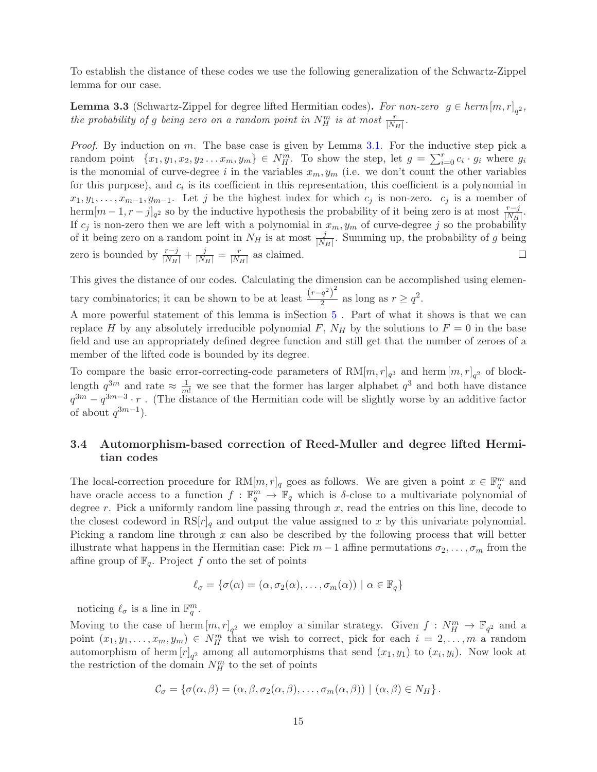To establish the distance of these codes we use the following generalization of the Schwartz-Zippel lemma for our case.

**Lemma 3.3** (Schwartz-Zippel for degree lifted Hermitian codes). For non-zero  $g \in \text{herm}[m, r]_{q^2}$ , the probability of g being zero on a random point in  $N_H^m$  is at most  $\frac{r}{|N_H|}$ .

*Proof.* By induction on  $m$ . The base case is given by Lemma [3.1.](#page-12-1) For the inductive step pick a random point  $\{x_1, y_1, x_2, y_2 \ldots x_m, y_m\} \in N_H^m$ . To show the step, let  $g = \sum_{i=0}^r c_i \cdot g_i$  where  $g_i$ is the monomial of curve-degree i in the variables  $x_m, y_m$  (i.e. we don't count the other variables for this purpose), and  $c_i$  is its coefficient in this representation, this coefficient is a polynomial in  $x_1, y_1, \ldots, x_{m-1}, y_{m-1}$ . Let j be the highest index for which  $c_j$  is non-zero.  $c_j$  is a member of herm $[m-1, r-j]_{q^2}$  so by the inductive hypothesis the probability of it being zero is at most  $\frac{r-j}{|N_H|}$ . If  $c_j$  is non-zero then we are left with a polynomial in  $x_m, y_m$  of curve-degree j so the probability of it being zero on a random point in  $N_H$  is at most  $\frac{j}{|N_H|}$ . Summing up, the probability of g being zero is bounded by  $\frac{r-j}{|N_H|} + \frac{j}{|N_H|} = \frac{r}{|N_H|}$  $\frac{r}{|N_H|}$  as claimed.  $\Box$ 

This gives the distance of our codes. Calculating the dimension can be accomplished using elementary combinatorics; it can be shown to be at least  $\frac{(r-q^2)^2}{2}$  $\frac{q^2}{2}$  as long as  $r \geq q^2$ .

A more powerful statement of this lemma is inSection [5](#page-20-0) . Part of what it shows is that we can replace H by any absolutely irreducible polynomial F,  $N_H$  by the solutions to  $F = 0$  in the base field and use an appropriately defined degree function and still get that the number of zeroes of a member of the lifted code is bounded by its degree.

To compare the basic error-correcting-code parameters of  $\text{RM}[m,r]_{q^3}$  and herm  $[m,r]_{q^2}$  of blocklength  $q^{3m}$  and rate  $\approx \frac{1}{m!}$  we see that the former has larger alphabet  $q^{3}$  and both have distance  $q^{3m} - q^{3m-3} \cdot r$ . (The distance of the Hermitian code will be slightly worse by an additive factor of about  $q^{3m-1}$ ).

# <span id="page-14-0"></span>3.4 Automorphism-based correction of Reed-Muller and degree lifted Hermitian codes

The local-correction procedure for  $RM[m, r]_q$  goes as follows. We are given a point  $x \in \mathbb{F}_q^m$  and have oracle access to a function  $f : \mathbb{F}_q^m \to \mathbb{F}_q$  which is  $\delta$ -close to a multivariate polynomial of degree r. Pick a uniformly random line passing through  $x$ , read the entries on this line, decode to the closest codeword in  $\text{RS}[r]_q$  and output the value assigned to x by this univariate polynomial. Picking a random line through x can also be described by the following process that will better illustrate what happens in the Hermitian case: Pick  $m-1$  affine permutations  $\sigma_2, \ldots, \sigma_m$  from the affine group of  $\mathbb{F}_q$ . Project f onto the set of points

$$
\ell_{\sigma} = \{ \sigma(\alpha) = (\alpha, \sigma_2(\alpha), \dots, \sigma_m(\alpha)) \mid \alpha \in \mathbb{F}_q \}
$$

noticing  $\ell_{\sigma}$  is a line in  $\mathbb{F}_q^m$ .

Moving to the case of herm  $[m,r]_{q^2}$  we employ a similar strategy. Given  $f: N_H^m \to \mathbb{F}_{q^2}$  and a point  $(x_1, y_1, \ldots, x_m, y_m) \in N_H^m$  that we wish to correct, pick for each  $i = 2, \ldots, m$  a random automorphism of herm  $[r]_{q^2}$  among all automorphisms that send  $(x_1, y_1)$  to  $(x_i, y_i)$ . Now look at the restriction of the domain  $N_H^m$  to the set of points

$$
\mathcal{C}_{\sigma} = \{ \sigma(\alpha, \beta) = (\alpha, \beta, \sigma_2(\alpha, \beta), \dots, \sigma_m(\alpha, \beta)) \mid (\alpha, \beta) \in N_H \}.
$$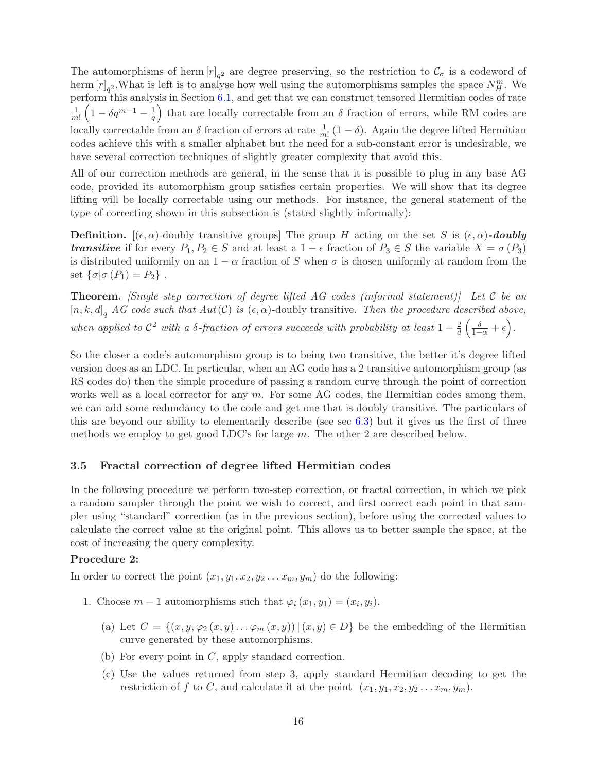The automorphisms of herm  $[r]_{q^2}$  are degree preserving, so the restriction to  $\mathcal{C}_{\sigma}$  is a codeword of herm  $[r]_{q^2}$ . What is left is to analyse how well using the automorphisms samples the space  $N_H^m$ . We perform this analysis in Section [6.1,](#page-24-0) and get that we can construct tensored Hermitian codes of rate 1  $\frac{1}{m!}\left(1-\delta q^{m-1}-\frac{1}{q}\right)$  $\frac{1}{q}$ ) that are locally correctable from an  $\delta$  fraction of errors, while RM codes are locally correctable from an  $\delta$  fraction of errors at rate  $\frac{1}{m!}(1-\delta)$ . Again the degree lifted Hermitian codes achieve this with a smaller alphabet but the need for a sub-constant error is undesirable, we have several correction techniques of slightly greater complexity that avoid this.

All of our correction methods are general, in the sense that it is possible to plug in any base AG code, provided its automorphism group satisfies certain properties. We will show that its degree lifting will be locally correctable using our methods. For instance, the general statement of the type of correcting shown in this subsection is (stated slightly informally):

**Definition.**  $[(\epsilon, \alpha)$ -doubly transitive groups] The group H acting on the set S is  $(\epsilon, \alpha)$ -doubly **transitive** if for every  $P_1, P_2 \in S$  and at least a  $1 - \epsilon$  fraction of  $P_3 \in S$  the variable  $X = \sigma(P_3)$ is distributed uniformly on an  $1 - \alpha$  fraction of S when  $\sigma$  is chosen uniformly at random from the set  $\{\sigma | \sigma(P_1) = P_2\}$ .

**Theorem.** [Single step correction of degree lifted AG codes (informal statement)] Let C be an  $[n, k, d]_q$  AG code such that  $Aut(\mathcal{C})$  is  $(\epsilon, \alpha)$ -doubly transitive. Then the procedure described above, when applied to  $\mathcal{C}^2$  with a  $\delta$ -fraction of errors succeeds with probability at least  $1-\frac{2}{d}$  $rac{2}{d}\left(\frac{\delta}{1-\alpha}+\epsilon\right).$ 

So the closer a code's automorphism group is to being two transitive, the better it's degree lifted version does as an LDC. In particular, when an AG code has a 2 transitive automorphism group (as RS codes do) then the simple procedure of passing a random curve through the point of correction works well as a local corrector for any  $m$ . For some AG codes, the Hermitian codes among them, we can add some redundancy to the code and get one that is doubly transitive. The particulars of this are beyond our ability to elementarily describe (see sec [6.3\)](#page-26-0) but it gives us the first of three methods we employ to get good LDC's for large m. The other 2 are described below.

### <span id="page-15-0"></span>3.5 Fractal correction of degree lifted Hermitian codes

In the following procedure we perform two-step correction, or fractal correction, in which we pick a random sampler through the point we wish to correct, and first correct each point in that sampler using "standard" correction (as in the previous section), before using the corrected values to calculate the correct value at the original point. This allows us to better sample the space, at the cost of increasing the query complexity.

#### Procedure 2:

In order to correct the point  $(x_1, y_1, x_2, y_2 \ldots x_m, y_m)$  do the following:

- 1. Choose  $m-1$  automorphisms such that  $\varphi_i(x_1, y_1) = (x_i, y_i)$ .
	- (a) Let  $C = \{(x, y, \varphi_2(x, y), \ldots, \varphi_m(x, y)) | (x, y) \in D\}$  be the embedding of the Hermitian curve generated by these automorphisms.
	- (b) For every point in  $C$ , apply standard correction.
	- (c) Use the values returned from step 3, apply standard Hermitian decoding to get the restriction of f to C, and calculate it at the point  $(x_1, y_1, x_2, y_2 \ldots x_m, y_m)$ .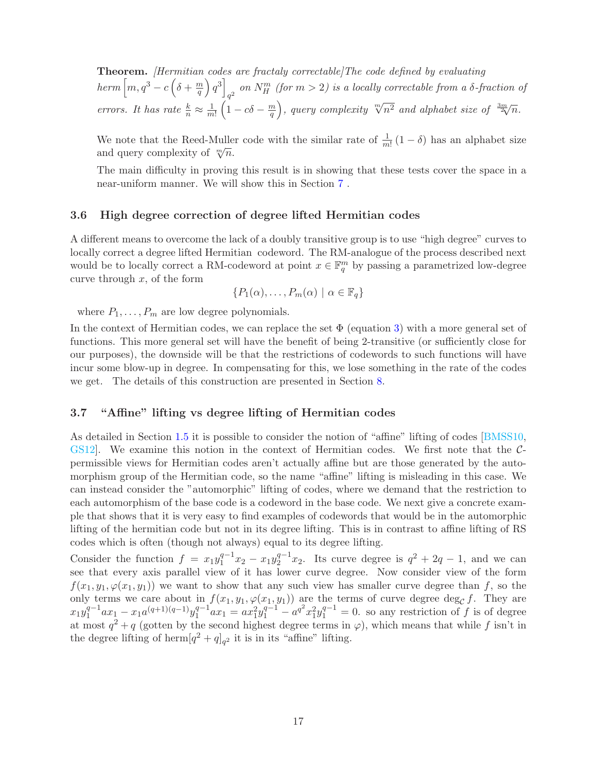Theorem. [Hermitian codes are fractaly correctable]The code defined by evaluating  $\hbar e\tau m\left[m,q^3-c\left(\delta+{m\over q}\right)\right]$  $\left[\frac{m}{q}\right)q^3\right]$ on  $N_H^m$  (for  $m > 2$ ) is a locally correctable from a  $\delta$ -fraction of errors. It has rate  $\frac{k}{n} \approx \frac{1}{m}$  $\frac{1}{m!}\left(1-c\delta-\frac{m}{q}\right)$  $\left(\frac{m}{q}\right)$ , query complexity  $\sqrt[m]{n^2}$  and alphabet size of  $\frac{3m}{2\sqrt{n}}$ .

We note that the Reed-Muller code with the similar rate of  $\frac{1}{m!} (1 - \delta)$  has an alphabet size and query complexity of  $\sqrt[m]{n}$ .

The main difficulty in proving this result is in showing that these tests cover the space in a near-uniform manner. We will show this in Section [7](#page-27-0) .

#### <span id="page-16-0"></span>3.6 High degree correction of degree lifted Hermitian codes

A different means to overcome the lack of a doubly transitive group is to use "high degree" curves to locally correct a degree lifted Hermitian codeword. The RM-analogue of the process described next would be to locally correct a RM-codeword at point  $x \in \mathbb{F}_q^m$  by passing a parametrized low-degree curve through  $x$ , of the form

$$
\{P_1(\alpha),\ldots,P_m(\alpha) \mid \alpha \in \mathbb{F}_q\}
$$

where  $P_1, \ldots, P_m$  are low degree polynomials.

In the context of Hermitian codes, we can replace the set  $\Phi$  (equation [3\)](#page-13-2) with a more general set of functions. This more general set will have the benefit of being 2-transitive (or sufficiently close for our purposes), the downside will be that the restrictions of codewords to such functions will have incur some blow-up in degree. In compensating for this, we lose something in the rate of the codes we get. The details of this construction are presented in Section [8.](#page-30-0)

# <span id="page-16-1"></span>3.7 "Affine" lifting vs degree lifting of Hermitian codes

As detailed in Section [1.5](#page-6-0) it is possible to consider the notion of "affine" lifting of codes [\[BMSS10,](#page-34-5) [GS12\]](#page-35-1). We examine this notion in the context of Hermitian codes. We first note that the Cpermissible views for Hermitian codes aren't actually affine but are those generated by the automorphism group of the Hermitian code, so the name "affine" lifting is misleading in this case. We can instead consider the "automorphic" lifting of codes, where we demand that the restriction to each automorphism of the base code is a codeword in the base code. We next give a concrete example that shows that it is very easy to find examples of codewords that would be in the automorphic lifting of the hermitian code but not in its degree lifting. This is in contrast to affine lifting of RS codes which is often (though not always) equal to its degree lifting.

Consider the function  $f = x_1 y_1^{q-1} x_2 - x_1 y_2^{q-1} x_2$ . Its curve degree is  $q^2 + 2q - 1$ , and we can see that every axis parallel view of it has lower curve degree. Now consider view of the form  $f(x_1, y_1, \varphi(x_1, y_1))$  we want to show that any such view has smaller curve degree than f, so the only terms we care about in  $f(x_1, y_1, \varphi(x_1, y_1))$  are the terms of curve degree deg<sub>C</sub> f. They are  $x_1y_1^{q-1}ax_1 - x_1a^{(q+1)(q-1)}y_1^{q-1}ax_1 = ax_1^2y_1^{q-1} - a^{q^2}x_1^2y_1^{q-1} = 0$ . so any restriction of f is of degree at most  $q^2 + q$  (gotten by the second highest degree terms in  $\varphi$ ), which means that while f isn't in the degree lifting of herm  $[q^2 + q]_{q^2}$  it is in its "affine" lifting.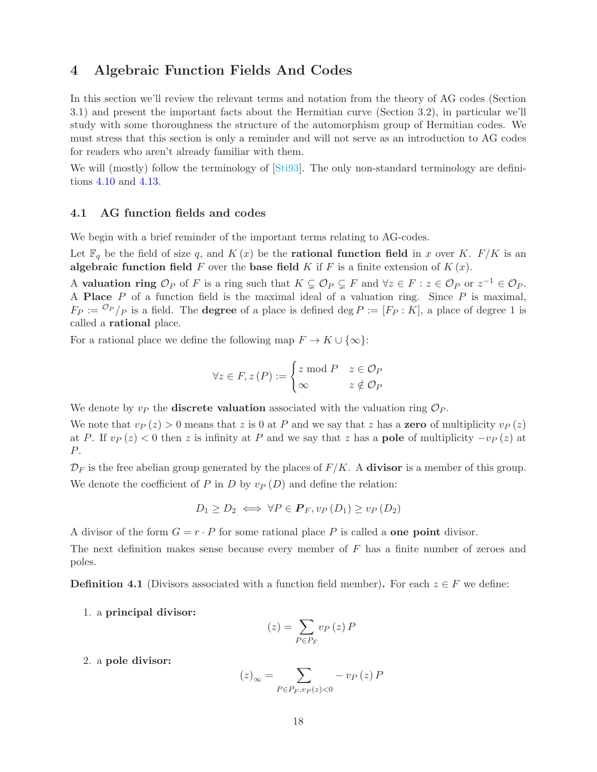# <span id="page-17-0"></span>4 Algebraic Function Fields And Codes

In this section we'll review the relevant terms and notation from the theory of AG codes (Section 3.1) and present the important facts about the Hermitian curve (Section 3.2), in particular we'll study with some thoroughness the structure of the automorphism group of Hermitian codes. We must stress that this section is only a reminder and will not serve as an introduction to AG codes for readers who aren't already familiar with them.

We will (mostly) follow the terminology of [\[Sti93\]](#page-37-6). The only non-standard terminology are definitions [4.10](#page-19-1) and [4.13.](#page-19-2)

#### <span id="page-17-1"></span>4.1 AG function fields and codes

We begin with a brief reminder of the important terms relating to AG-codes.

Let  $\mathbb{F}_q$  be the field of size q, and  $K(x)$  be the **rational function field** in x over K.  $F/K$  is an algebraic function field F over the base field K if F is a finite extension of  $K(x)$ .

A valuation ring  $\mathcal{O}_P$  of F is a ring such that  $K \subsetneq \mathcal{O}_P \subsetneq F$  and  $\forall z \in F : z \in \mathcal{O}_P$  or  $z^{-1} \in \mathcal{O}_P$ . A **Place**  $P$  of a function field is the maximal ideal of a valuation ring. Since  $P$  is maximal,  $F_P := {}^{\mathcal{O}_P}/P$  is a field. The **degree** of a place is defined deg  $P := [F_P : K]$ , a place of degree 1 is called a rational place.

For a rational place we define the following map  $F \to K \cup \{\infty\}$ :

$$
\forall z \in F, z(P) := \begin{cases} z \bmod P & z \in \mathcal{O}_P \\ \infty & z \notin \mathcal{O}_P \end{cases}
$$

We denote by  $v_P$  the **discrete valuation** associated with the valuation ring  $\mathcal{O}_P$ .

We note that  $v_P(z) > 0$  means that z is 0 at P and we say that z has a **zero** of multiplicity  $v_P(z)$ at P. If  $v_P(z) < 0$  then z is infinity at P and we say that z has a **pole** of multiplicity  $-v_P(z)$  at P.

 $\mathcal{D}_F$  is the free abelian group generated by the places of  $F/K$ . A **divisor** is a member of this group. We denote the coefficient of P in D by  $v_P(D)$  and define the relation:

$$
D_1 \ge D_2 \iff \forall P \in \mathbf{P}_F, v_P(D_1) \ge v_P(D_2)
$$

A divisor of the form  $G = r \cdot P$  for some rational place P is called a **one point** divisor.

The next definition makes sense because every member of  $F$  has a finite number of zeroes and poles.

**Definition 4.1** (Divisors associated with a function field member). For each  $z \in F$  we define:

1. a principal divisor:

$$
(z) = \sum_{P \in P_F} v_P(z) P
$$

2. a pole divisor:

$$
(z)_{\infty} = \sum_{P \in P_F, v_P(z) < 0} - v_P(z) \, P
$$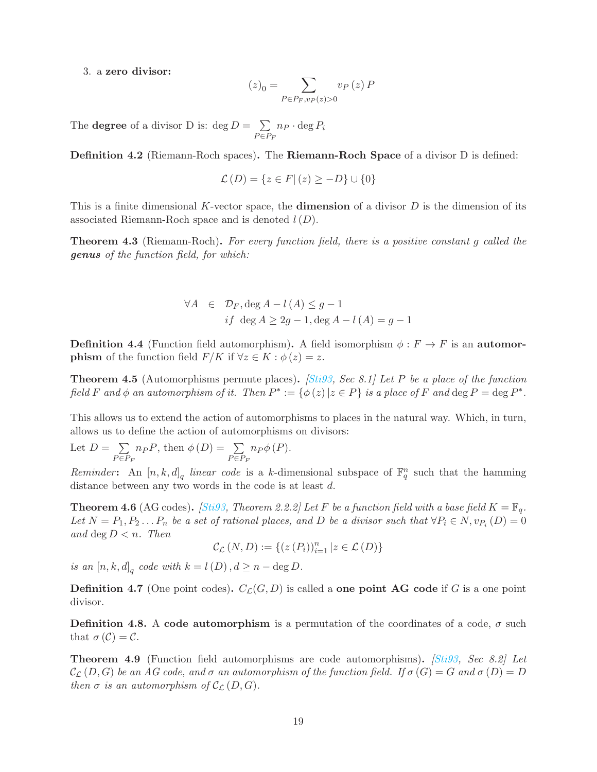3. a zero divisor:

$$
(z)_0 = \sum_{P \in P_F, v_P(z) > 0} v_P(z) P
$$

The **degree** of a divisor D is:  $\deg D = \sum$  $P \in P_F$  $n_P \cdot \deg P_i$ 

Definition 4.2 (Riemann-Roch spaces). The Riemann-Roch Space of a divisor D is defined:

$$
\mathcal{L}(D) = \{ z \in F | (z) \ge -D \} \cup \{ 0 \}
$$

This is a finite dimensional K-vector space, the **dimension** of a divisor  $D$  is the dimension of its associated Riemann-Roch space and is denoted  $l(D)$ .

**Theorem 4.3** (Riemann-Roch). For every function field, there is a positive constant g called the genus of the function field, for which:

$$
\forall A \in \mathcal{D}_F, \deg A - l(A) \le g - 1
$$
  
if  $\deg A \ge 2g - 1, \deg A - l(A) = g - 1$ 

**Definition 4.4** (Function field automorphism). A field isomorphism  $\phi : F \to F$  is an **automorphism** of the function field  $F/K$  if  $\forall z \in K : \phi(z) = z$ .

**Theorem 4.5** (Automorphisms permute places). *[\[Sti93,](#page-37-6) Sec 8.1] Let P be a place of the function* field F and  $\phi$  an automorphism of it. Then  $P^* := {\phi(z) | z \in P}$  is a place of F and  $\deg P = \deg P^*$ .

This allows us to extend the action of automorphisms to places in the natural way. Which, in turn, allows us to define the action of automorphisms on divisors:

Let  $D = \sum$  $P \in P_F$  $n_P P$ , then  $\phi(D) = \sum$  $P \in P_F$  $n_P\phi(P)$ .

Reminder: An  $[n, k, d]_q$  linear code is a k-dimensional subspace of  $\mathbb{F}_q^n$  such that the hamming distance between any two words in the code is at least d.

**Theorem 4.6** (AG codes). *[\[Sti93,](#page-37-6) Theorem 2.2.2] Let F be a function field with a base field*  $K = \mathbb{F}_q$ . Let  $N = P_1, P_2...P_n$  be a set of rational places, and D be a divisor such that  $\forall P_i \in N$ ,  $v_{P_i}(D) = 0$ and deg  $D < n$ . Then

$$
\mathcal{C}_{\mathcal{L}}\left(N,D\right):=\left\{ \left(z\left(P_{i}\right)\right)_{i=1}^{n}\left|z\in\mathcal{L}\left(D\right)\right\} \right\}
$$

is an  $[n, k, d]_q$  code with  $k = l(D)$ ,  $d \ge n - \deg D$ .

<span id="page-18-1"></span>**Definition 4.7** (One point codes).  $C_{\mathcal{L}}(G, D)$  is called a **one point AG** code if G is a one point divisor.

**Definition 4.8.** A code automorphism is a permutation of the coordinates of a code,  $\sigma$  such that  $\sigma(\mathcal{C}) = \mathcal{C}$ .

<span id="page-18-0"></span>**Theorem 4.9** (Function field automorphisms are code automorphisms). *[\[Sti93,](#page-37-6) Sec 8.2] Let*  $\mathcal{C}_{\mathcal{L}}(D, G)$  be an AG code, and  $\sigma$  an automorphism of the function field. If  $\sigma(G) = G$  and  $\sigma(D) = D$ then  $\sigma$  is an automorphism of  $\mathcal{C}_{\mathcal{L}}(D, G)$ .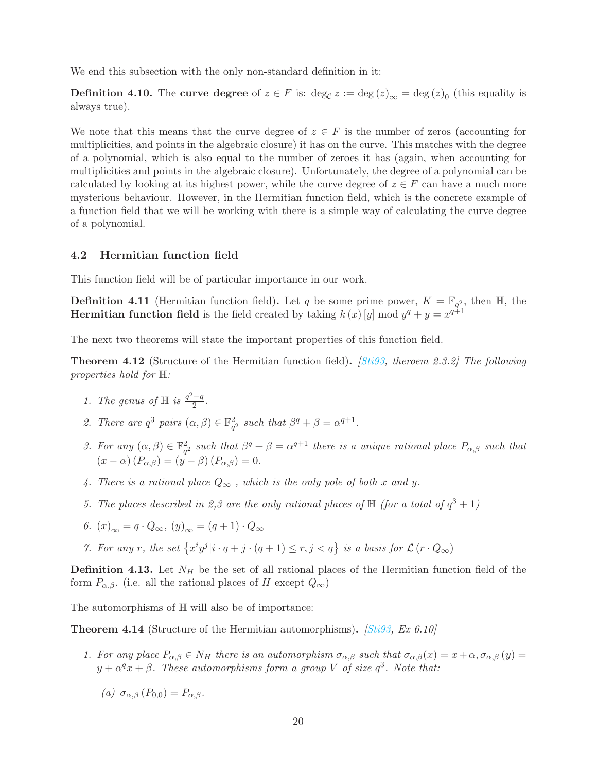We end this subsection with the only non-standard definition in it:

<span id="page-19-1"></span>**Definition 4.10.** The curve degree of  $z \in F$  is:  $\deg_{\mathcal{C}} z := \deg(z)_{\infty} = \deg(z)_{0}$  (this equality is always true).

We note that this means that the curve degree of  $z \in F$  is the number of zeros (accounting for multiplicities, and points in the algebraic closure) it has on the curve. This matches with the degree of a polynomial, which is also equal to the number of zeroes it has (again, when accounting for multiplicities and points in the algebraic closure). Unfortunately, the degree of a polynomial can be calculated by looking at its highest power, while the curve degree of  $z \in F$  can have a much more mysterious behaviour. However, in the Hermitian function field, which is the concrete example of a function field that we will be working with there is a simple way of calculating the curve degree of a polynomial.

#### <span id="page-19-0"></span>4.2 Hermitian function field

This function field will be of particular importance in our work.

**Definition 4.11** (Hermitian function field). Let q be some prime power,  $K = \mathbb{F}_{q^2}$ , then H, the **Hermitian function field** is the field created by taking  $k(x)$  [y] mod  $y^q + y = x^{q+1}$ 

The next two theorems will state the important properties of this function field.

**Theorem 4.12** (Structure of the Hermitian function field). *[\[Sti93,](#page-37-6) theroem 2.3.2] The following* properties hold for  $\mathbb{H}$ :

- 1. The genus of  $\mathbb H$  is  $\frac{q^2-q}{2}$ .
- 2. There are  $q^3$  pairs  $(\alpha, \beta) \in \mathbb{F}_{q^2}^2$  such that  $\beta^q + \beta = \alpha^{q+1}$ .
- 3. For any  $(\alpha, \beta) \in \mathbb{F}_{q^2}^2$  such that  $\beta^q + \beta = \alpha^{q+1}$  there is a unique rational place  $P_{\alpha,\beta}$  such that  $(x - \alpha) (P_{\alpha,\beta}) = (y - \beta) (P_{\alpha,\beta}) = 0.$
- 4. There is a rational place  $Q_{\infty}$ , which is the only pole of both x and y.
- 5. The places described in 2,3 are the only rational places of  $\mathbb{H}$  (for a total of  $q^3 + 1$ )

$$
6. (x)_{\infty} = q \cdot Q_{\infty}, (y)_{\infty} = (q+1) \cdot Q_{\infty}
$$

7. For any r, the set  $\{x^i y^j | i \cdot q + j \cdot (q+1) \le r, j < q\}$  is a basis for  $\mathcal{L}(r \cdot Q_\infty)$ 

<span id="page-19-2"></span>**Definition 4.13.** Let  $N_H$  be the set of all rational places of the Hermitian function field of the form  $P_{\alpha,\beta}$ . (i.e. all the rational places of H except  $Q_{\infty}$ )

The automorphisms of  $\mathbb H$  will also be of importance:

<span id="page-19-3"></span>**Theorem 4.14** (Structure of the Hermitian automorphisms).  $[Sti93, Ex 6.10]$  $[Sti93, Ex 6.10]$ 

1. For any place  $P_{\alpha,\beta} \in N_H$  there is an automorphism  $\sigma_{\alpha,\beta}$  such that  $\sigma_{\alpha,\beta}(x) = x + \alpha, \sigma_{\alpha,\beta}(y) = x + \alpha$  $y + \alpha^q x + \beta$ . These automorphisms form a group V of size  $q^3$ . Note that:

(a)  $\sigma_{\alpha\beta}$  (P<sub>0,0</sub>) =  $P_{\alpha\beta}$ .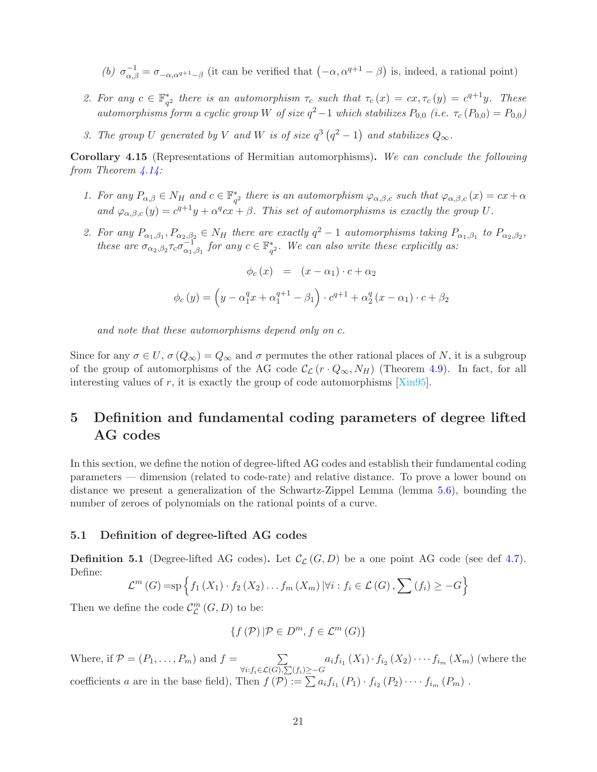- (b)  $\sigma_{\alpha,\beta}^{-1} = \sigma_{-\alpha,\alpha^{q+1}-\beta}$  (it can be verified that  $(-\alpha, \alpha^{q+1}-\beta)$  is, indeed, a rational point)
- 2. For any  $c \in \mathbb{F}_{q^2}^*$  there is an automorphism  $\tau_c$  such that  $\tau_c(x) = cx, \tau_c(y) = c^{q+1}y$ . These automorphisms form a cyclic group W of size  $q^2-1$  which stabilizes  $P_{0,0}$  (i.e.  $\tau_c(P_{0,0}) = P_{0,0}$ )
- 3. The group U generated by V and W is of size  $q^3(q^2-1)$  and stabilizes  $Q_{\infty}$ .

<span id="page-20-2"></span>Corollary 4.15 (Representations of Hermitian automorphisms). We can conclude the following from Theorem  $\frac{4.14}{5.25}$ 

- 1. For any  $P_{\alpha,\beta} \in N_H$  and  $c \in \mathbb{F}_{q^2}^*$  there is an automorphism  $\varphi_{\alpha,\beta,c}$  such that  $\varphi_{\alpha,\beta,c}(x) = cx + \alpha$ and  $\varphi_{\alpha,\beta,c}(y) = c^{q+1}y + \alpha^q c x + \beta$ . This set of automorphisms is exactly the group U.
- 2. For any  $P_{\alpha_1,\beta_1}, P_{\alpha_2,\beta_2} \in N_H$  there are exactly  $q^2-1$  automorphisms taking  $P_{\alpha_1,\beta_1}$  to  $P_{\alpha_2,\beta_2}$ , these are  $\sigma_{\alpha_2,\beta_2} \tau_c \sigma_{\alpha_1,\beta_1}^{-1}$  for any  $c \in \mathbb{F}_{q^2}^*$ . We can also write these explicitly as:

$$
\phi_c(x) = (x - \alpha_1) \cdot c + \alpha_2
$$

$$
\phi_c(y) = \left(y - \alpha_1^q x + \alpha_1^{q+1} - \beta_1\right) \cdot c^{q+1} + \alpha_2^q (x - \alpha_1) \cdot c + \beta_2
$$

and note that these automorphisms depend only on c.

Since for any  $\sigma \in U$ ,  $\sigma(Q_{\infty}) = Q_{\infty}$  and  $\sigma$  permutes the other rational places of N, it is a subgroup of the group of automorphisms of the AG code  $\mathcal{C}_{\mathcal{L}}(r \cdot Q_{\infty}, N_H)$  (Theorem [4.9\)](#page-18-0). In fact, for all interesting values of  $r$ , it is exactly the group of code automorphisms [\[Xin95\]](#page--1-6).

# <span id="page-20-0"></span>5 Definition and fundamental coding parameters of degree lifted AG codes

In this section, we define the notion of degree-lifted AG codes and establish their fundamental coding parameters — dimension (related to code-rate) and relative distance. To prove a lower bound on distance we present a generalization of the Schwartz-Zippel Lemma (lemma [5.6\)](#page-21-2), bounding the number of zeroes of polynomials on the rational points of a curve.

#### <span id="page-20-1"></span>5.1 Definition of degree-lifted AG codes

**Definition 5.1** (Degree-lifted AG codes). Let  $\mathcal{C}_{\mathcal{L}}(G, D)$  be a one point AG code (see def [4.7\)](#page-18-1). Define:

$$
\mathcal{L}^m(G) = \mathrm{sp} \left\{ f_1\left(X_1\right) \cdot f_2\left(X_2\right) \dots f_m\left(X_m\right) \left|\forall i : f_i \in \mathcal{L}(G), \sum_{i} \left(f_i\right) \geq -G \right\}
$$

Then we define the code  $\mathcal{C}_{\mathcal{L}}^m$  $_{\mathcal{L}}^{m}\left( G,D\right)$  to be:

$$
\{f(\mathcal{P})|\mathcal{P}\in D^m, f\in\mathcal{L}^m(G)\}\
$$

Where, if  $\mathcal{P} = (P_1, \ldots, P_m)$  and  $f = \sum_{\forall j \in \mathcal{I}} P_j$  $\forall i: f_i \in \mathcal{L}(G), \sum(f_i) \geq -G$  $a_i f_{i_1}(X_1) \cdot f_{i_2}(X_2) \cdot \cdots f_{i_m}(X_m)$  (where the coefficients a are in the base field), Then  $f(\mathcal{P}) := \sum a_i f_{i_1}(P_1) \cdot f_{i_2}(P_2) \cdot \cdots \cdot f_{i_m}(P_m)$ .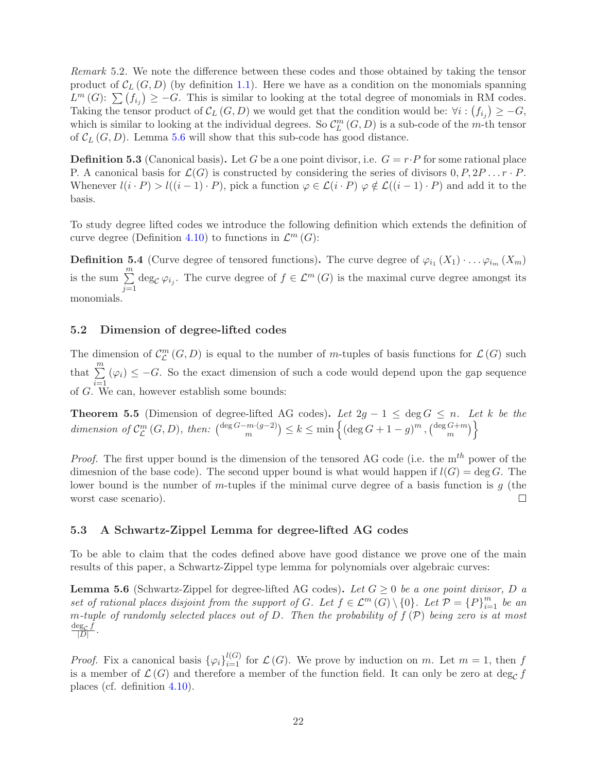Remark 5.2. We note the difference between these codes and those obtained by taking the tensor product of  $\mathcal{C}_L(G, D)$  (by definition [1.1\)](#page-4-2). Here we have as a condition on the monomials spanning  $L^m(G)$ :  $\sum_{i} (f_{i_j}) \geq -G$ . This is similar to looking at the total degree of monomials in RM codes. Taking the tensor product of  $\mathcal{C}_L(G, D)$  we would get that the condition would be:  $\forall i : (f_{i_j}) \geq -G$ , which is similar to looking at the individual degrees. So  $\mathcal{C}_{L}^{m}(G,D)$  is a sub-code of the m-th tensor of  $\mathcal{C}_L(G, D)$ . Lemma [5.6](#page-21-2) will show that this sub-code has good distance.

<span id="page-21-4"></span>**Definition 5.3** (Canonical basis). Let G be a one point divisor, i.e.  $G = r \cdot P$  for some rational place P. A canonical basis for  $\mathcal{L}(G)$  is constructed by considering the series of divisors  $0, P, 2P \ldots r \cdot P$ . Whenever  $l(i \cdot P) > l((i-1) \cdot P)$ , pick a function  $\varphi \in \mathcal{L}(i \cdot P)$   $\varphi \notin \mathcal{L}((i-1) \cdot P)$  and add it to the basis.

To study degree lifted codes we introduce the following definition which extends the definition of curve degree (Definition [4.10\)](#page-19-1) to functions in  $\mathcal{L}^m(G)$ :

**Definition 5.4** (Curve degree of tensored functions). The curve degree of  $\varphi_{i_1}(X_1) \cdot \ldots \varphi_{i_m}(X_m)$ is the sum  $\sum_{m=1}^{m}$  $\sum_{j=1} \deg_{\mathcal{C}} \varphi_{i_j}$ . The curve degree of  $f \in \mathcal{L}^m(G)$  is the maximal curve degree amongst its monomials.

#### <span id="page-21-0"></span>5.2 Dimension of degree-lifted codes

The dimension of  $\mathcal{C}_{\mathcal{L}}^{m}(G, D)$  is equal to the number of m-tuples of basis functions for  $\mathcal{L}(G)$  such that  $\sum_{i=1}^{m} (\varphi_i) \leq -G$ .  $\sum_{i=1}^{\infty} (\varphi_i) \leq -G$ . So the exact dimension of such a code would depend upon the gap sequence of G. We can, however establish some bounds:

<span id="page-21-3"></span>**Theorem 5.5** (Dimension of degree-lifted AG codes). Let  $2g - 1 \le \deg G \le n$ . Let k be the dimension of  $\mathcal{C}_{\mathcal{L}}^m$  $L^m(\mathcal{G}, D)$ , then:  $\binom{\deg G - m \cdot (g - 2)}{m} \le k \le \min \left\{ (\deg G + 1 - g)^m , \binom{\deg G + m}{m} \right\}$  $\binom{G+m}{m}$ 

*Proof.* The first upper bound is the dimension of the tensored AG code (i.e. the  $m<sup>th</sup>$  power of the dimesnion of the base code). The second upper bound is what would happen if  $l(G) = \deg G$ . The lower bound is the number of m-tuples if the minimal curve degree of a basis function is  $q$  (the worst case scenario).  $\Box$ 

### <span id="page-21-1"></span>5.3 A Schwartz-Zippel Lemma for degree-lifted AG codes

To be able to claim that the codes defined above have good distance we prove one of the main results of this paper, a Schwartz-Zippel type lemma for polynomials over algebraic curves:

<span id="page-21-2"></span>**Lemma 5.6** (Schwartz-Zippel for degree-lifted AG codes). Let  $G \geq 0$  be a one point divisor, D a set of rational places disjoint from the support of G. Let  $f \in \mathcal{L}^m(G) \setminus \{0\}$ . Let  $\mathcal{P} = \{P\}_{i=1}^m$  be an m-tuple of randomly selected places out of D. Then the probability of  $f(\mathcal{P})$  being zero is at most  $\deg_{\mathcal{C}} f$  $\frac{\log_{\mathcal{C}} j}{|D|}$ .

*Proof.* Fix a canonical basis  ${\varphi_i}_{i=1}^{l(G)}$  for  $\mathcal{L}(G)$ . We prove by induction on m. Let  $m = 1$ , then f is a member of  $\mathcal{L}(G)$  and therefore a member of the function field. It can only be zero at deg<sub>C</sub> f places (cf. definition [4.10\)](#page-19-1).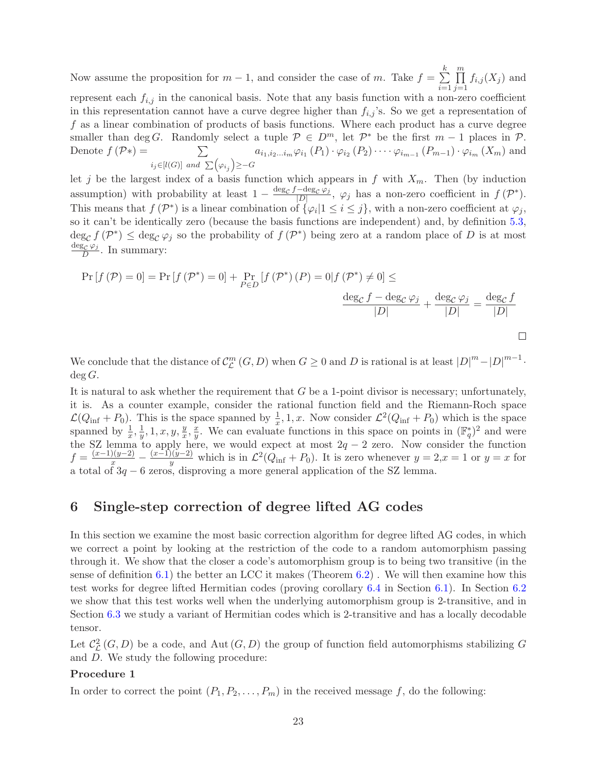Now assume the proposition for  $m-1$ , and consider the case of m. Take  $f = \sum_{n=1}^{\infty}$ k  $i=1$  $\prod^m$  $j=1$  $f_{i,j}(X_j)$  and represent each  $f_{i,j}$  in the canonical basis. Note that any basis function with a non-zero coefficient in this representation cannot have a curve degree higher than  $f_{i,j}$ 's. So we get a representation of f as a linear combination of products of basis functions. Where each product has a curve degree smaller than deg G. Randomly select a tuple  $P \in D^m$ , let  $P^*$  be the first  $m-1$  places in  $P$ . Denote  $f(\mathcal{P}*) = \sum$  $i_j \in [l(G)]$  and  $\sum (\varphi_{i_j}) \geq -G$  $a_{i_1,i_2...i_m}\varphi_{i_1}(P_1)\cdot \varphi_{i_2}(P_2)\cdots \varphi_{i_{m-1}}(P_{m-1})\cdot \varphi_{i_m}(X_m)$  and

let j be the largest index of a basis function which appears in f with  $X_m$ . Then (by induction assumption) with probability at least  $1 - \frac{\deg_c f - \deg_c \varphi_j}{|D|}$  $\frac{-\text{deg}_{\mathcal{C}}\varphi_j}{|D|}, \varphi_j$  has a non-zero coefficient in  $f(\mathcal{P}^*).$ This means that  $f(\mathcal{P}^*)$  is a linear combination of  $\{\varphi_i | 1 \leq i \leq j\}$ , with a non-zero coefficient at  $\varphi_j$ , so it can't be identically zero (because the basis functions are independent) and, by definition [5.3,](#page-21-4)  $\deg_{\mathcal{C}} f(\mathcal{P}^*) \leq \deg_{\mathcal{C}} \varphi_j$  so the probability of  $f(\mathcal{P}^*)$  being zero at a random place of D is at most  $\deg_{\mathcal{C}}\varphi_j$  $rac{\partial \mathcal{L}}{D} \mathcal{L}$ . In summary:

$$
\Pr\left[f\left(\mathcal{P}\right)=0\right]=\Pr\left[f\left(\mathcal{P}^*\right)=0\right]+\Pr_{P\in D}\left[f\left(\mathcal{P}^*\right)\left(P\right)=0\middle|f\left(\mathcal{P}^*\right)\neq0\right]\leq\frac{\deg_{\mathcal{C}}f-\deg_{\mathcal{C}}\varphi_{j}}{\left|D\right|}+\frac{\deg_{\mathcal{C}}\varphi_{j}}{\left|D\right|}=\frac{\deg_{\mathcal{C}}f}{\left|D\right|}
$$

We conclude that the distance of  $\mathcal{C}_{\mathcal{L}}^{m}$  $L^m$   $(G, D)$  when  $G \geq 0$  and D is rational is at least  $|D|^m - |D|^{m-1}$ .  $deg G$ .

It is natural to ask whether the requirement that  $G$  be a 1-point divisor is necessary; unfortunately, it is. As a counter example, consider the rational function field and the Riemann-Roch space  $\mathcal{L}(Q_{\text{inf}} + P_0)$ . This is the space spanned by  $\frac{1}{x}, 1, x$ . Now consider  $\mathcal{L}^2(Q_{\text{inf}} + P_0)$  which is the space spanned by  $\frac{1}{x}, \frac{1}{y}$  $\frac{1}{y}, 1, x, y, \frac{y}{x}$  $\frac{y}{x}, \frac{x}{y}$ y. We can evaluate functions in this space on points in  $(\mathbb{F}_q^*)^2$  and were the SZ lemma to apply here, we would expect at most  $2q - 2$  zero. Now consider the function  $f = \frac{(x-1)(y-2)}{x} - \frac{(x-1)(y-2)}{y}$  which is in  $\mathcal{L}^2(Q_{\text{inf}} + P_0)$ . It is zero whenever  $y = 2, x = 1$  or  $y = x$  for a total of  $3q - 6$  zeros, disproving a more general application of the SZ lemma.

# <span id="page-22-0"></span>6 Single-step correction of degree lifted AG codes

In this section we examine the most basic correction algorithm for degree lifted AG codes, in which we correct a point by looking at the restriction of the code to a random automorphism passing through it. We show that the closer a code's automorphism group is to being two transitive (in the sense of definition [6.1\)](#page-23-0) the better an LCC it makes (Theorem  $6.2$ ). We will then examine how this test works for degree lifted Hermitian codes (proving corollary [6.4](#page-23-2) in Section [6.1\)](#page-24-0). In Section [6.2](#page-25-0) we show that this test works well when the underlying automorphism group is 2-transitive, and in Section [6.3](#page-26-0) we study a variant of Hermitian codes which is 2-transitive and has a locally decodable tensor.

Let  $\mathcal{C}_{\mathcal{L}}^2(G, D)$  be a code, and Aut  $(G, D)$  the group of function field automorphisms stabilizing G and D. We study the following procedure:

#### Procedure 1

In order to correct the point  $(P_1, P_2, \ldots, P_m)$  in the received message f, do the following: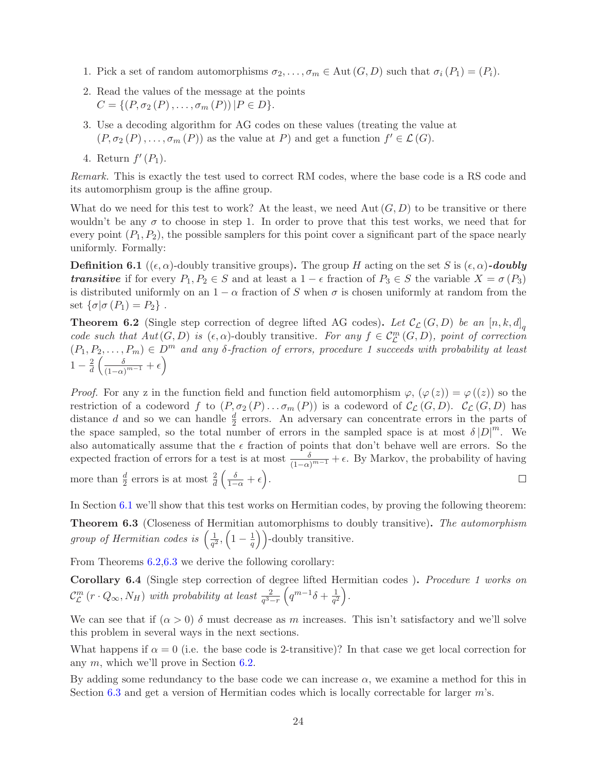- 1. Pick a set of random automorphisms  $\sigma_2, \ldots, \sigma_m \in \text{Aut}(G, D)$  such that  $\sigma_i(P_1) = (P_i)$ .
- 2. Read the values of the message at the points  $C = \{ (P, \sigma_2(P), \ldots, \sigma_m(P)) | P \in D \}.$
- 3. Use a decoding algorithm for AG codes on these values (treating the value at  $(P, \sigma_2(P), \ldots, \sigma_m(P))$  as the value at P) and get a function  $f' \in \mathcal{L}(G)$ .
- 4. Return  $f'(P_1)$ .

Remark. This is exactly the test used to correct RM codes, where the base code is a RS code and its automorphism group is the affine group.

What do we need for this test to work? At the least, we need Aut  $(G, D)$  to be transitive or there wouldn't be any  $\sigma$  to choose in step 1. In order to prove that this test works, we need that for every point  $(P_1, P_2)$ , the possible samplers for this point cover a significant part of the space nearly uniformly. Formally:

<span id="page-23-0"></span>**Definition 6.1** (( $\epsilon, \alpha$ )-doubly transitive groups). The group H acting on the set S is  $(\epsilon, \alpha)$ -doubly **transitive** if for every  $P_1, P_2 \in S$  and at least a  $1 - \epsilon$  fraction of  $P_3 \in S$  the variable  $X = \sigma(P_3)$ is distributed uniformly on an  $1 - \alpha$  fraction of S when  $\sigma$  is chosen uniformly at random from the set  $\{\sigma | \sigma (P_1) = P_2\}$ .

<span id="page-23-1"></span>**Theorem 6.2** (Single step correction of degree lifted AG codes). Let  $\mathcal{C}_{\mathcal{L}}(G, D)$  be an  $[n, k, d]_q$ code such that  $Aut(G, D)$  is  $(\epsilon, \alpha)$ -doubly transitive. For any  $f \in C^m_{\mathcal{L}}(G, D)$ , point of correction  $(P_1, P_2, \ldots, P_m) \in D^m$  and any  $\delta$ -fraction of errors, procedure 1 succeeds with probability at least  $1-\frac{2}{d}$  $rac{2}{d} \left( \frac{\delta}{(1-\alpha)} \right)$  $\frac{\delta}{(1-\alpha)^{m-1}} + \epsilon$ 

*Proof.* For any z in the function field and function field automorphism  $\varphi$ ,  $(\varphi(z)) = \varphi(z)$  so the restriction of a codeword f to  $(P, \sigma_2(P) \ldots \sigma_m(P))$  is a codeword of  $\mathcal{C}_{\mathcal{L}}(G, D)$ .  $\mathcal{C}_{\mathcal{L}}(G, D)$  has distance d and so we can handle  $\frac{d}{2}$  errors. An adversary can concentrate errors in the parts of the space sampled, so the total number of errors in the sampled space is at most  $\delta |D|^m$ . We also automatically assume that the  $\epsilon$  fraction of points that don't behave well are errors. So the expected fraction of errors for a test is at most  $\frac{\delta}{(1-\alpha)^{m-1}} + \epsilon$ . By Markov, the probability of having more than  $\frac{d}{2}$  errors is at most  $\frac{2}{d} \left( \frac{\delta}{1-\alpha} + \epsilon \right)$ .  $\Box$ 

<span id="page-23-3"></span>In Section [6.1](#page-24-0) we'll show that this test works on Hermitian codes, by proving the following theorem: Theorem 6.3 (Closeness of Hermitian automorphisms to doubly transitive). The automorphism group of Hermitian codes is  $\left(\frac{1}{\sigma^2}\right)$  $\frac{1}{q^2}, \left(1-\frac{1}{q}\right)$  $\left(\frac{1}{q}\right)$ )-doubly transitive.

From Theorems [6.2](#page-23-1)[,6.3](#page-23-3) we derive the following corollary:

<span id="page-23-2"></span>Corollary 6.4 (Single step correction of degree lifted Hermitian codes ). Procedure 1 works on  $\mathcal{C}_{\mathcal{L}}^m$  $\int_{\mathcal{L}}^{m} (r \cdot Q_{\infty}, N_H)$  with probability at least  $\frac{2}{q^3-r}$  $\left(q^{m-1}\delta+\frac{1}{q^2}\right)$  $\frac{1}{q^2}\bigg)$  .

We can see that if  $(\alpha > 0)$  δ must decrease as m increases. This isn't satisfactory and we'll solve this problem in several ways in the next sections.

What happens if  $\alpha = 0$  (i.e. the base code is 2-transitive)? In that case we get local correction for any m, which we'll prove in Section [6.2.](#page-25-0)

By adding some redundancy to the base code we can increase  $\alpha$ , we examine a method for this in Section [6.3](#page-26-0) and get a version of Hermitian codes which is locally correctable for larger  $m$ 's.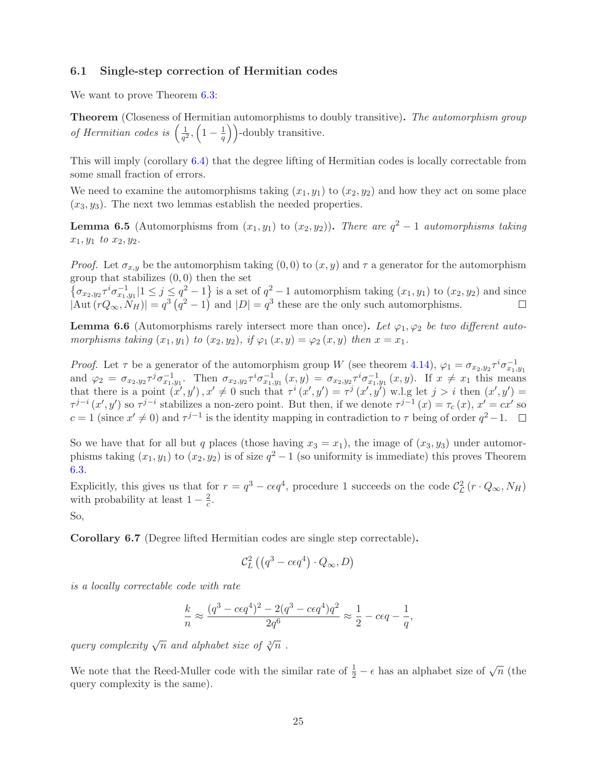### <span id="page-24-0"></span>6.1 Single-step correction of Hermitian codes

We want to prove Theorem  $6.3$ :

Theorem (Closeness of Hermitian automorphisms to doubly transitive). The automorphism group of Hermitian codes is  $\left(\frac{1}{a^2}\right)$  $\frac{1}{q^2}, \left(1-\frac{1}{q}\right)$  $\left(\frac{1}{q}\right)$  -doubly transitive.

This will imply (corollary [6.4\)](#page-23-2) that the degree lifting of Hermitian codes is locally correctable from some small fraction of errors.

We need to examine the automorphisms taking  $(x_1, y_1)$  to  $(x_2, y_2)$  and how they act on some place  $(x_3, y_3)$ . The next two lemmas establish the needed properties.

**Lemma 6.5** (Automorphisms from  $(x_1, y_1)$  to  $(x_2, y_2)$ ). There are  $q^2 - 1$  automorphisms taking  $x_1, y_1$  to  $x_2, y_2$ .

*Proof.* Let  $\sigma_{x,y}$  be the automorphism taking  $(0,0)$  to  $(x, y)$  and  $\tau$  a generator for the automorphism group that stabilizes  $(0, 0)$  then the set

 $\{\sigma_{x_2,y_2}\tau^i\sigma_{x_1,y_1}^{-1}|1\leq j\leq q^2-1\}$  is a set of  $q^2-1$  automorphism taking  $(x_1,y_1)$  to  $(x_2,y_2)$  and since  $|\text{Aut}(rQ_{\infty}, \tilde{N}_H)| = q^3 (q^2 - 1)$  and  $|D| = q^3$  these are the only such automorphisms.

**Lemma 6.6** (Automorphisms rarely intersect more than once). Let  $\varphi_1, \varphi_2$  be two different automorphisms taking  $(x_1, y_1)$  to  $(x_2, y_2)$ , if  $\varphi_1(x, y) = \varphi_2(x, y)$  then  $x = x_1$ .

*Proof.* Let  $\tau$  be a generator of the automorphism group W (see theorem [4.14\)](#page-19-3),  $\varphi_1 = \sigma_{x_2,y_2} \tau^i \sigma_{x_1,y_1}^{-1}$ and  $\varphi_2 = \sigma_{x_2,y_2} \tau^j \sigma_{x_1,y_1}^{-1}$ . Then  $\sigma_{x_2,y_2} \tau^i \sigma_{x_1,y_1}^{-1}(x,y) = \sigma_{x_2,y_2} \tau^i \sigma_{x_1,y_1}^{-1}(x,y)$ . If  $x \neq x_1$  this means that there is a point  $(x', y')$ ,  $x' \neq 0$  such that  $\tau^i(x', y') = \tau^j(x', y')$  w.l.g let  $j > i$  then  $(x', y') =$  $\tau^{j-i}(x',y')$  so  $\tau^{j-i}$  stabilizes a non-zero point. But then, if we denote  $\tau^{j-1}(x) = \tau_c(x)$ ,  $x' = cx'$  so  $c = 1$  (since  $x' \neq 0$ ) and  $\tau^{j-1}$  is the identity mapping in contradiction to  $\tau$  being of order  $q^2 - 1$ .

So we have that for all but q places (those having  $x_3 = x_1$ ), the image of  $(x_3, y_3)$  under automorphisms taking  $(x_1, y_1)$  to  $(x_2, y_2)$  is of size  $q^2 - 1$  (so uniformity is immediate) this proves Theorem [6.3.](#page-23-3)

Explicitly, this gives us that for  $r = q^3 - c \epsilon q^4$ , procedure 1 succeeds on the code  $\mathcal{C}_{\mathcal{L}}^2$  $L^2(r \cdot Q_{\infty}, N_H)$ with probability at least  $1 - \frac{2}{c}$  $\frac{2}{c}$ .

So,

Corollary 6.7 (Degree lifted Hermitian codes are single step correctable).

$$
\mathcal{C}_L^2\left(\left(q^3-c\epsilon q^4\right)\cdot Q_\infty,D\right)
$$

is a locally correctable code with rate

$$
\frac{k}{n} \approx \frac{(q^3 - c\epsilon q^4)^2 - 2(q^3 - c\epsilon q^4)q^2}{2q^6} \approx \frac{1}{2} - c\epsilon q - \frac{1}{q},
$$

query complexity  $\sqrt{n}$  and alphabet size of  $\sqrt[3]{n}$ .

We note that the Reed-Muller code with the similar rate of  $\frac{1}{2} - \epsilon$  has an alphabet size of  $\sqrt{n}$  (the query complexity is the same).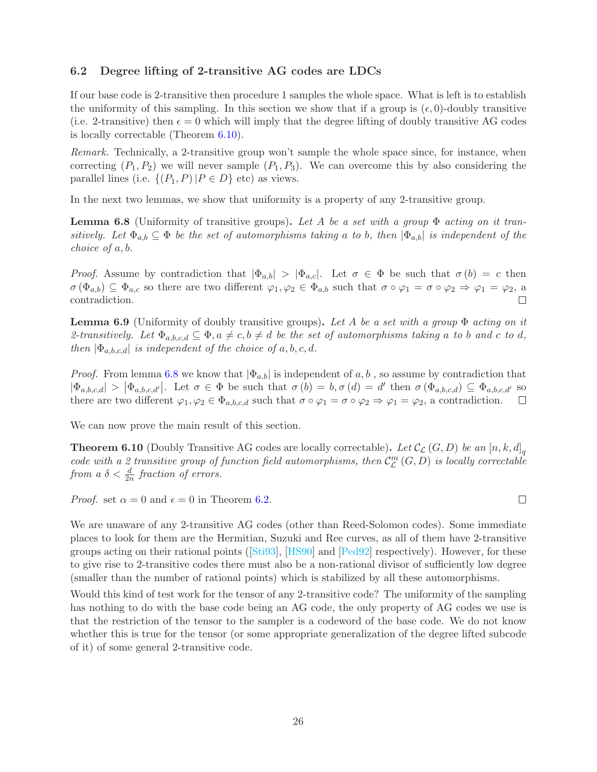## <span id="page-25-0"></span>6.2 Degree lifting of 2-transitive AG codes are LDCs

If our base code is 2-transitive then procedure 1 samples the whole space. What is left is to establish the uniformity of this sampling. In this section we show that if a group is  $(\epsilon, 0)$ -doubly transitive (i.e. 2-transitive) then  $\epsilon = 0$  which will imply that the degree lifting of doubly transitive AG codes is locally correctable (Theorem [6.10\)](#page-25-1).

Remark. Technically, a 2-transitive group won't sample the whole space since, for instance, when correcting  $(P_1, P_2)$  we will never sample  $(P_1, P_3)$ . We can overcome this by also considering the parallel lines (i.e.  $\{(P_1, P) | P \in D\}$  etc) as views.

In the next two lemmas, we show that uniformity is a property of any 2-transitive group.

<span id="page-25-2"></span>**Lemma 6.8** (Uniformity of transitive groups). Let A be a set with a group  $\Phi$  acting on it transitively. Let  $\Phi_{a,b} \subseteq \Phi$  be the set of automorphisms taking a to b, then  $|\Phi_{a,b}|$  is independent of the choice of a, b.

*Proof.* Assume by contradiction that  $|\Phi_{a,b}| > |\Phi_{a,c}|$ . Let  $\sigma \in \Phi$  be such that  $\sigma(b) = c$  then  $\sigma(\Phi_{a,b}) \subseteq \Phi_{a,c}$  so there are two different  $\varphi_1, \varphi_2 \in \Phi_{a,b}$  such that  $\sigma \circ \varphi_1 = \sigma \circ \varphi_2 \Rightarrow \varphi_1 = \varphi_2$ , a contradiction. contradiction.

<span id="page-25-3"></span>**Lemma 6.9** (Uniformity of doubly transitive groups). Let A be a set with a group  $\Phi$  acting on it 2-transitively. Let  $\Phi_{a,b,c,d} \subseteq \Phi$ ,  $a \neq c, b \neq d$  be the set of automorphisms taking a to b and c to d, then  $|\Phi_{a,b,c,d}|$  is independent of the choice of a, b, c, d.

*Proof.* From lemma [6.8](#page-25-2) we know that  $|\Phi_{a,b}|$  is independent of a, b, so assume by contradiction that  $|\Phi_{a,b,c,d}| > |\Phi_{a,b,c,d'}|$ . Let  $\sigma \in \Phi$  be such that  $\sigma(b) = b, \sigma(d) = d'$  then  $\sigma(\Phi_{a,b,c,d}) \subseteq \Phi_{a,b,c,d'}$  so there are two different  $\varphi_1, \varphi_2 \in \Phi_{a,b,c,d}$  such that  $\sigma \circ \varphi_1 = \sigma \circ \varphi_2 \Rightarrow \varphi_1 = \varphi_2$ , a contradiction.

We can now prove the main result of this section.

<span id="page-25-1"></span>**Theorem 6.10** (Doubly Transitive AG codes are locally correctable). Let  $\mathcal{C}_{\mathcal{L}}(G,D)$  be an  $[n, k, d]_q$ code with a 2 transitive group of function field automorphisms, then  $\mathcal{C}_{\mathcal{L}}^{m}$  $_{\mathcal{L}}^{m}\left( G,D\right)$  is locally correctable from a  $\delta < \frac{d}{2n}$  fraction of errors.

*Proof.* set  $\alpha = 0$  and  $\epsilon = 0$  in Theorem [6.2.](#page-23-1)

We are unaware of any 2-transitive AG codes (other than Reed-Solomon codes). Some immediate places to look for them are the Hermitian, Suzuki and Ree curves, as all of them have 2-transitive groups acting on their rational points ([\[Sti93\]](#page-37-6), [\[HS90\]](#page-35-4) and [\[Ped92\]](#page-36-7) respectively). However, for these to give rise to 2-transitive codes there must also be a non-rational divisor of sufficiently low degree (smaller than the number of rational points) which is stabilized by all these automorphisms.

Would this kind of test work for the tensor of any 2-transitive code? The uniformity of the sampling has nothing to do with the base code being an AG code, the only property of AG codes we use is that the restriction of the tensor to the sampler is a codeword of the base code. We do not know whether this is true for the tensor (or some appropriate generalization of the degree lifted subcode of it) of some general 2-transitive code.

 $\Box$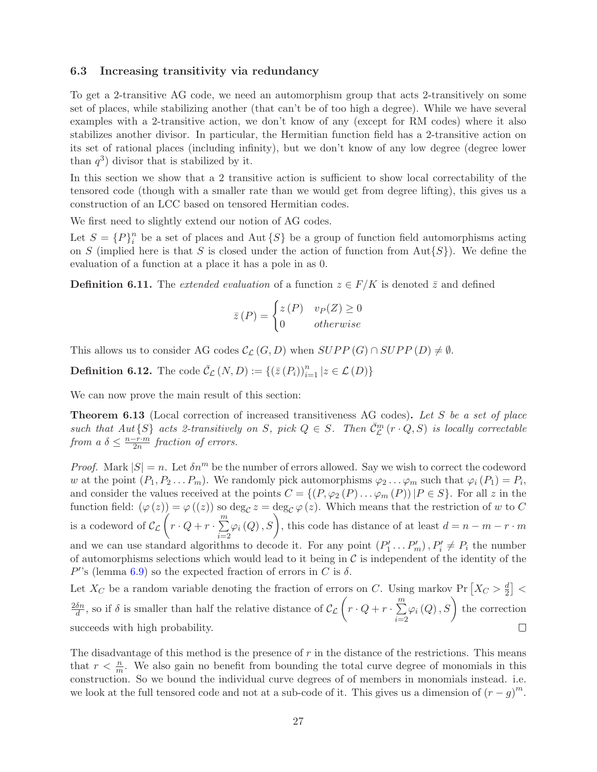### <span id="page-26-0"></span>6.3 Increasing transitivity via redundancy

To get a 2-transitive AG code, we need an automorphism group that acts 2-transitively on some set of places, while stabilizing another (that can't be of too high a degree). While we have several examples with a 2-transitive action, we don't know of any (except for RM codes) where it also stabilizes another divisor. In particular, the Hermitian function field has a 2-transitive action on its set of rational places (including infinity), but we don't know of any low degree (degree lower than  $q^3$ ) divisor that is stabilized by it.

In this section we show that a 2 transitive action is sufficient to show local correctability of the tensored code (though with a smaller rate than we would get from degree lifting), this gives us a construction of an LCC based on tensored Hermitian codes.

We first need to slightly extend our notion of AG codes.

Let  $S = \{P\}_i^n$  $\binom{n}{i}$  be a set of places and Aut  $\{S\}$  be a group of function field automorphisms acting on S (implied here is that S is closed under the action of function from  $Aut\{S\}$ ). We define the evaluation of a function at a place it has a pole in as 0.

**Definition 6.11.** The extended evaluation of a function  $z \in F/K$  is denoted  $\bar{z}$  and defined

$$
\bar{z}(P) = \begin{cases} z(P) & v_P(Z) \ge 0 \\ 0 & otherwise \end{cases}
$$

This allows us to consider AG codes  $\mathcal{C}_{\mathcal{L}}(G, D)$  when  $SUPP(G) \cap SUPP(D) \neq \emptyset$ .

**Definition 6.12.** The code  $\bar{\mathcal{C}}_{\mathcal{L}}(N, D) := \{ (\bar{z}(P_i))_{i=1}^n | z \in \mathcal{L}(D) \}$ 

We can now prove the main result of this section:

<span id="page-26-1"></span>**Theorem 6.13** (Local correction of increased transitiveness AG codes). Let S be a set of place such that  $Aut\{S\}$  acts 2-transitively on S, pick  $Q \in S$ . Then  $\bar{C}_{\mathcal{L}}^m(r \cdot Q, S)$  is locally correctable from a  $\delta \leq \frac{n-r \cdot m}{2n}$  fraction of errors.

*Proof.* Mark  $|S| = n$ . Let  $\delta n^m$  be the number of errors allowed. Say we wish to correct the codeword w at the point  $(P_1, P_2 \ldots P_m)$ . We randomly pick automorphisms  $\varphi_2 \ldots \varphi_m$  such that  $\varphi_i(P_1) = P_i$ , and consider the values received at the points  $C = \{(P, \varphi_2(P) \dots \varphi_m(P)) | P \in S\}$ . For all z in the function field:  $(\varphi(z)) = \varphi((z))$  so  $\deg_{\mathcal{C}} z = \deg_{\mathcal{C}} \varphi(z)$ . Which means that the restriction of w to C is a codeword of  $\mathcal{C}_{\mathcal{L}}\left(r \cdot Q + r \cdot \sum_{i=1}^{m} \right)$  $i=2$  $\varphi_i(Q), S$ , this code has distance of at least  $d = n - m - r \cdot m$ and we can use standard algorithms to decode it. For any point  $(P'_1 \dots P'_m)$ ,  $P'_i \neq P_i$  the number of automorphisms selections which would lead to it being in  $\mathcal C$  is independent of the identity of the  $P'$ 's (lemma [6.9\)](#page-25-3) so the expected fraction of errors in C is  $\delta$ .

Let  $X_C$  be a random variable denoting the fraction of errors on C. Using markov Pr  $\left[ X_C > \frac{d}{2} \right]$  $\frac{d}{2}$   $\vert$   $<$  $\frac{\delta n}{d}$ , so if  $\delta$  is smaller than half the relative distance of  $\mathcal{C}_{\mathcal{L}}\left(r \cdot Q + r \cdot \sum_{i=1}^{m} q_i\right)$  $\varphi_i(Q), S$  the correction  $2\delta n$  $i=2$ succeeds with high probability.  $\Box$ 

The disadvantage of this method is the presence of  $r$  in the distance of the restrictions. This means that  $r < \frac{n}{m}$ . We also gain no benefit from bounding the total curve degree of monomials in this construction. So we bound the individual curve degrees of of members in monomials instead. i.e. we look at the full tensored code and not at a sub-code of it. This gives us a dimension of  $(r - g)^m$ .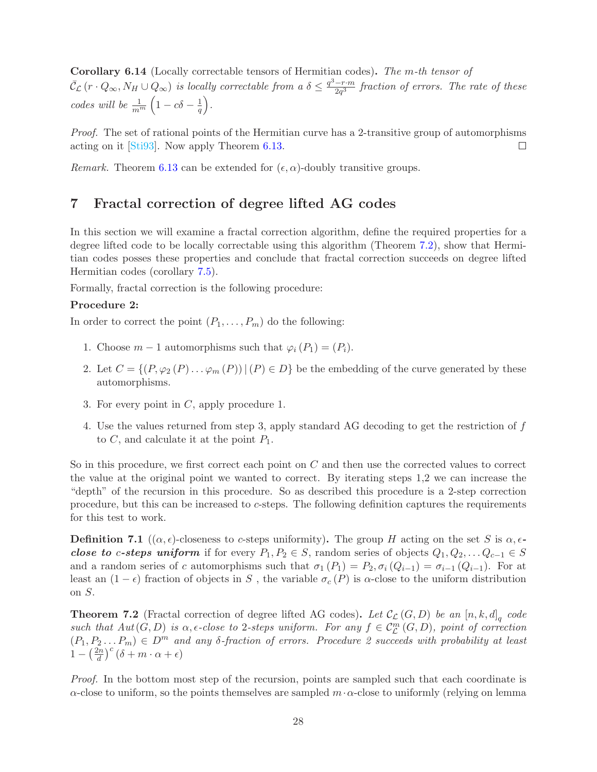Corollary 6.14 (Locally correctable tensors of Hermitian codes). The m-th tensor of  $\bar{\mathcal{C}}_{\mathcal{L}}(r \cdot Q_{\infty}, N_H \cup Q_{\infty})$  is locally correctable from a  $\delta \leq \frac{q^3-r\cdot m}{2q^3}$  fraction of errors. The rate of these codes will be  $\frac{1}{m^m}\left(1-c\delta-\frac{1}{q}\right)$  $\frac{1}{q}$ .

Proof. The set of rational points of the Hermitian curve has a 2-transitive group of automorphisms acting on it [\[Sti93\]](#page-37-6). Now apply Theorem [6.13.](#page-26-1)  $\Box$ 

<span id="page-27-0"></span>Remark. Theorem [6.13](#page-26-1) can be extended for  $(\epsilon, \alpha)$ -doubly transitive groups.

# 7 Fractal correction of degree lifted AG codes

In this section we will examine a fractal correction algorithm, define the required properties for a degree lifted code to be locally correctable using this algorithm (Theorem [7.2\)](#page-27-1), show that Hermitian codes posses these properties and conclude that fractal correction succeeds on degree lifted Hermitian codes (corollary [7.5\)](#page-28-0).

Formally, fractal correction is the following procedure:

#### Procedure 2:

In order to correct the point  $(P_1, \ldots, P_m)$  do the following:

- 1. Choose  $m-1$  automorphisms such that  $\varphi_i(P_1) = (P_i)$ .
- 2. Let  $C = \{(P, \varphi_2(P) \dots \varphi_m(P)) | (P) \in D\}$  be the embedding of the curve generated by these automorphisms.
- 3. For every point in  $C$ , apply procedure 1.
- 4. Use the values returned from step 3, apply standard AG decoding to get the restriction of f to  $C$ , and calculate it at the point  $P_1$ .

So in this procedure, we first correct each point on C and then use the corrected values to correct the value at the original point we wanted to correct. By iterating steps 1,2 we can increase the "depth" of the recursion in this procedure. So as described this procedure is a 2-step correction procedure, but this can be increased to c-steps. The following definition captures the requirements for this test to work.

**Definition 7.1** (( $\alpha, \epsilon$ )-closeness to c-steps uniformity). The group H acting on the set S is  $\alpha, \epsilon$ close to c-steps uniform if for every  $P_1, P_2 \in S$ , random series of objects  $Q_1, Q_2, \ldots Q_{c-1} \in S$ and a random series of c automorphisms such that  $\sigma_1(P_1) = P_2, \sigma_i(Q_{i-1}) = \sigma_{i-1}(Q_{i-1})$ . For at least an  $(1 - \epsilon)$  fraction of objects in S, the variable  $\sigma_c(P)$  is  $\alpha$ -close to the uniform distribution on S.

<span id="page-27-1"></span>**Theorem 7.2** (Fractal correction of degree lifted AG codes). Let  $\mathcal{C}_{\mathcal{L}}(G, D)$  be an  $[n, k, d]_q$  code such that  $Aut(G, D)$  is  $\alpha$ ,  $\epsilon$ -close to 2-steps uniform. For any  $f \in C^m_{\mathcal{L}}(G, D)$ , point of correction  $(P_1, P_2... P_m) \in D^m$  and any  $\delta$ -fraction of errors. Procedure 2 succeeds with probability at least  $1-\left(\frac{2n}{d}\right)$  $\left(\frac{\delta n}{d}\right)^c\left(\delta+m\cdot\alpha+\epsilon\right)$ 

Proof. In the bottom most step of the recursion, points are sampled such that each coordinate is  $\alpha$ -close to uniform, so the points themselves are sampled m· $\alpha$ -close to uniformly (relying on lemma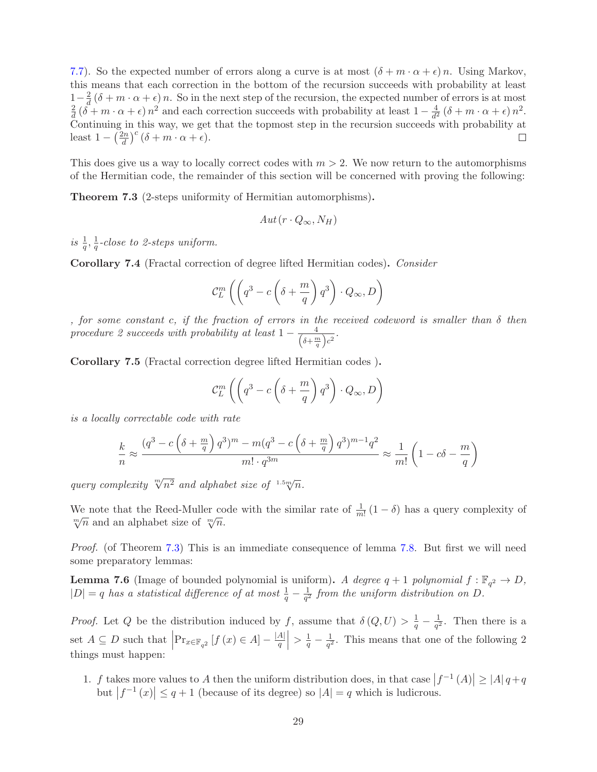[7.7\)](#page-29-0). So the expected number of errors along a curve is at most  $(\delta + m \cdot \alpha + \epsilon)n$ . Using Markov, this means that each correction in the bottom of the recursion succeeds with probability at least  $1-\frac{2}{d}$  $\frac{2}{d}(\delta+m\cdot\alpha+\epsilon)n$ . So in the next step of the recursion, the expected number of errors is at most  $\frac{2}{d}(\tilde{\delta} + m \cdot \alpha + \epsilon) n^2$  and each correction succeeds with probability at least  $1 - \frac{4}{d^2}$ 2  $\frac{4}{d^2}(\delta+m\cdot\alpha+\epsilon)n^2.$ Continuing in this way, we get that the topmost step in the recursion succeeds with probability at  $\left(\frac{\partial n}{\partial d}\right)^c$   $(\delta + m \cdot \alpha + \epsilon)$ . least  $1 - \left(\frac{2n}{d}\right)$ П

This does give us a way to locally correct codes with  $m > 2$ . We now return to the automorphisms of the Hermitian code, the remainder of this section will be concerned with proving the following:

<span id="page-28-1"></span>Theorem 7.3 (2-steps uniformity of Hermitian automorphisms).

$$
Aut(r \cdot Q_{\infty}, N_H)
$$

is  $\frac{1}{q}, \frac{1}{q}$  $\frac{1}{q}$ -close to 2-steps uniform.

Corollary 7.4 (Fractal correction of degree lifted Hermitian codes). Consider

$$
\mathcal{C}_L^m \left( \left( q^3 - c \left( \delta + \frac{m}{q} \right) q^3 \right) \cdot Q_\infty, D \right)
$$

, for some constant c, if the fraction of errors in the received codeword is smaller than  $\delta$  then procedure 2 succeeds with probability at least  $1 - \frac{4}{(\delta + \frac{n}{2})^2}$  $\frac{4}{\left(\delta+\frac{m}{q}\right)c^2}$ .

<span id="page-28-0"></span>Corollary 7.5 (Fractal correction degree lifted Hermitian codes ).

$$
\mathcal{C}_L^m \left( \left( q^3 - c \left( \delta + \frac{m}{q} \right) q^3 \right) \cdot Q_\infty, D \right)
$$

is a locally correctable code with rate

$$
\frac{k}{n} \approx \frac{(q^3 - c\left(\delta + \frac{m}{q}\right)q^3)^m - m(q^3 - c\left(\delta + \frac{m}{q}\right)q^3)^{m-1}q^2}{m! \cdot q^{3m}} \approx \frac{1}{m!} \left(1 - c\delta - \frac{m}{q}\right)
$$

query complexity  $\sqrt[m]{n^2}$  and alphabet size of  $1.5 \sqrt[m]{n}$ .

We note that the Reed-Muller code with the similar rate of  $\frac{1}{m!}(1-\delta)$  has a query complexity of  $\sqrt[m]{n}$  and an alphabet size of  $\sqrt[m]{n}$ .

Proof. (of Theorem [7.3\)](#page-28-1) This is an immediate consequence of lemma [7.8.](#page-29-1) But first we will need some preparatory lemmas:

<span id="page-28-2"></span>**Lemma 7.6** (Image of bounded polynomial is uniform). A degree  $q + 1$  polynomial  $f : \mathbb{F}_{q^2} \to D$ ,  $|D| = q$  has a statistical difference of at most  $\frac{1}{q} - \frac{1}{q^2}$  $\frac{1}{q^2}$  from the uniform distribution on D.

*Proof.* Let Q be the distribution induced by f, assume that  $\delta(Q, U) > \frac{1}{q} - \frac{1}{q^2}$  $\frac{1}{q^2}$ . Then there is a set  $A \subseteq D$  such that  $\left|\Pr_{x \in \mathbb{F}_{q^2}}[f(x) \in A] - \frac{|A|}{q}\right| > \frac{1}{q} - \frac{1}{q^2}$  $\frac{1}{q^2}$ . This means that one of the following 2 things must happen:

1. f takes more values to A then the uniform distribution does, in that case  $|f^{-1}(A)| \ge |A| q + q$ but  $|f^{-1}(x)| \leq q+1$  (because of its degree) so  $|A| = q$  which is ludicrous.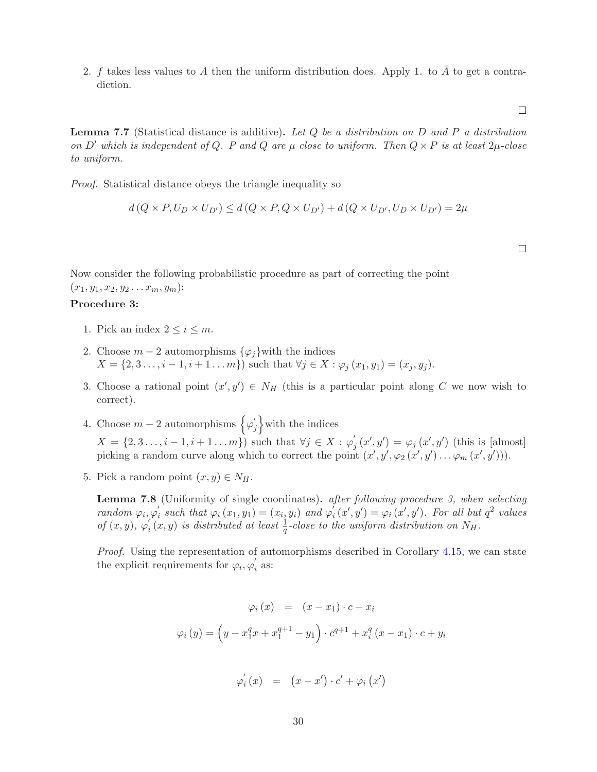2. f takes less values to A then the uniform distribution does. Apply 1. to  $\overline{A}$  to get a contradiction.

<span id="page-29-0"></span>**Lemma 7.7** (Statistical distance is additive). Let  $Q$  be a distribution on  $D$  and  $P$  a distribution on D' which is independent of Q. P and Q are  $\mu$  close to uniform. Then  $Q \times P$  is at least  $2\mu$ -close to uniform.

Proof. Statistical distance obeys the triangle inequality so

$$
d(Q \times P, U_D \times U_{D'}) \le d(Q \times P, Q \times U_{D'}) + d(Q \times U_{D'}, U_D \times U_{D'}) = 2\mu
$$

 $\Box$ 

 $\Box$ 

Now consider the following probabilistic procedure as part of correcting the point

 $(x_1, y_1, x_2, y_2 \ldots x_m, y_m)$ :

# Procedure 3:

- 1. Pick an index  $2 \leq i \leq m$ .
- 2. Choose  $m-2$  automorphisms  $\{\varphi_i\}$  with the indices  $X = \{2, 3, \ldots, i - 1, i + 1, \ldots, m\}$  such that  $\forall j \in X : \varphi_i(x_1, y_1) = (x_i, y_i)$ .
- 3. Choose a rational point  $(x', y') \in N_H$  (this is a particular point along C we now wish to correct).
- 4. Choose  $m-2$  automorphisms  $\Big\{\varphi'_j\Big\}$  $\binom{1}{j}$  with the indices  $X = \{2, 3, \ldots, i - 1, i + 1, \ldots, m\}$  such that  $\forall j \in X : \varphi'_j$  $j_{j}(x', y') = \varphi_{j}(x', y')$  (this is [almost] picking a random curve along which to correct the point  $(x', y', \varphi_2(x', y') \dots \varphi_m(x', y'))$ .
- 5. Pick a random point  $(x, y) \in N_H$ .

<span id="page-29-1"></span>Lemma 7.8 (Uniformity of single coordinates). after following procedure 3, when selecting random  $\varphi_i, \varphi'_i$  $\mathcal{L}_i$  such that  $\varphi_i(x_1, y_1) = (x_i, y_i)$  and  $\varphi_i$  $\mathcal{L}_i(x', y') = \varphi_i(x', y')$ . For all but  $q^2$  values of  $(x, y)$ ,  $\varphi'_i$  $\int_{i}^{t}(x,y)$  is distributed at least  $\frac{1}{q}$ -close to the uniform distribution on  $N_H$ .

Proof. Using the representation of automorphisms described in Corollary [4.15,](#page-20-2) we can state the explicit requirements for  $\varphi_i, \varphi'_i$  $i$  as:

$$
\varphi_i(x) = (x - x_1) \cdot c + x_i
$$

$$
\varphi_i(y) = (y - x_1^q x + x_1^{q+1} - y_1) \cdot c^{q+1} + x_i^q (x - x_1) \cdot c + y_i
$$

$$
\varphi_{i}^{'}(x) = (x - x') \cdot c' + \varphi_{i}(x')
$$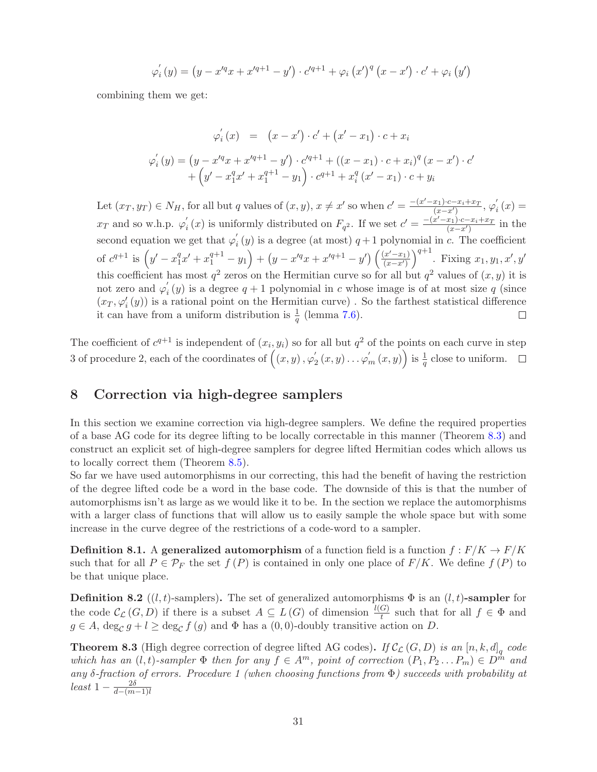$$
\varphi'_{i}(y) = (y - x'^{q}x + x'^{q+1} - y') \cdot c'^{q+1} + \varphi_{i}(x')^{q} (x - x') \cdot c' + \varphi_{i}(y')
$$

combining them we get:

$$
\varphi_i'(x) = (x - x') \cdot c' + (x' - x_1) \cdot c + x_i
$$
  

$$
\varphi_i'(y) = (y - x'^q x + x'^{q+1} - y') \cdot c'^{q+1} + ((x - x_1) \cdot c + x_i)^q (x - x') \cdot c'
$$
  

$$
+ (y' - x_1^q x' + x_1^{q+1} - y_1) \cdot c^{q+1} + x_i^q (x' - x_1) \cdot c + y_i
$$

Let  $(x_T, y_T) \in N_H$ , for all but q values of  $(x, y)$ ,  $x \neq x'$  so when  $c' = \frac{-(x'-x_1) \cdot c - x_i + x_T}{(x-x')}$  $\frac{x_1) \cdot c - x_i + x_T}{(x-x')}$ ,  $\varphi'_i$  $i(x) =$  $i<sub>i</sub>(x)$  is uniformly distributed on  $F_{q^2}$ . If we set  $c' = \frac{-(x'-x_1)\cdot c - x_i + x_T}{(x-x')}$  $x_T$  and so w.h.p.  $\varphi'_i$  $\frac{x_1 \cdot c - x_i + x_T}{(x - x')}$  in the second equation we get that  $\varphi'_i$  $i<sub>i</sub>(y)$  is a degree (at most)  $q+1$  polynomial in c. The coefficient  $\big)^{q+1}$ . Fixing  $x_1, y_1, x', y'$ of  $c^{q+1}$  is  $\left(y'-x_1^q\right)$  $\left(\frac{q}{1}x' + x_1^{q+1} - y_1\right) + \left(y - x'^{q}x + x'^{q+1} - y'\right)\left(\frac{(x'-x_1)}{(x-x')}\right)$  $\overline{(x-x^{\prime})}$ this coefficient has most  $q^2$  zeros on the Hermitian curve so for all but  $q^2$  values of  $(x, y)$  it is not zero and  $\varphi'_i$  $i<sub>i</sub>(y)$  is a degree  $q + 1$  polynomial in c whose image is of at most size q (since  $(x_T, \varphi'_i(y))$  is a rational point on the Hermitian curve). So the farthest statistical difference it can have from a uniform distribution is  $\frac{1}{q}$  (lemma [7.6\)](#page-28-2).  $\Box$ 

The coefficient of  $c^{q+1}$  is independent of  $(x_i, y_i)$  so for all but  $q^2$  of the points on each curve in step 3 of procedure 2, each of the coordinates of  $((x, y), \varphi'_2)$  $\left(\frac{y}{2}(x,y)\ldots\varphi_{m}'(x,y)\right)$  is  $\frac{1}{q}$  close to uniform.

# <span id="page-30-0"></span>8 Correction via high-degree samplers

In this section we examine correction via high-degree samplers. We define the required properties of a base AG code for its degree lifting to be locally correctable in this manner (Theorem [8.3\)](#page-30-1) and construct an explicit set of high-degree samplers for degree lifted Hermitian codes which allows us to locally correct them (Theorem [8.5\)](#page-31-0).

So far we have used automorphisms in our correcting, this had the benefit of having the restriction of the degree lifted code be a word in the base code. The downside of this is that the number of automorphisms isn't as large as we would like it to be. In the section we replace the automorphisms with a larger class of functions that will allow us to easily sample the whole space but with some increase in the curve degree of the restrictions of a code-word to a sampler.

**Definition 8.1.** A generalized automorphism of a function field is a function  $f : F/K \to F/K$ such that for all  $P \in \mathcal{P}_F$  the set  $f(P)$  is contained in only one place of  $F/K$ . We define  $f(P)$  to be that unique place.

**Definition 8.2** ((l, t)-samplers). The set of generalized automorphisms  $\Phi$  is an (l, t)-sampler for the code  $\mathcal{C}_{\mathcal{L}}(G, D)$  if there is a subset  $A \subseteq L(G)$  of dimension  $\frac{l(G)}{t}$  such that for all  $f \in \Phi$  and  $g \in A$ ,  $\deg_{\mathcal{C}} g + l \ge \deg_{\mathcal{C}} f(g)$  and  $\Phi$  has a  $(0, 0)$ -doubly transitive action on D.

<span id="page-30-1"></span>**Theorem 8.3** (High degree correction of degree lifted AG codes). If  $\mathcal{C}_{\mathcal{L}}(G, D)$  is an  $[n, k, d]_q$  code which has an  $(l, t)$ -sampler  $\Phi$  then for any  $f \in A^m$ , point of correction  $(P_1, P_2 \dots P_m) \in D^{\hat{m}}$  and any δ-fraction of errors. Procedure 1 (when choosing functions from Φ) succeeds with probability at least  $1 - \frac{2\delta}{d - (m)}$  $d-(m-1)l$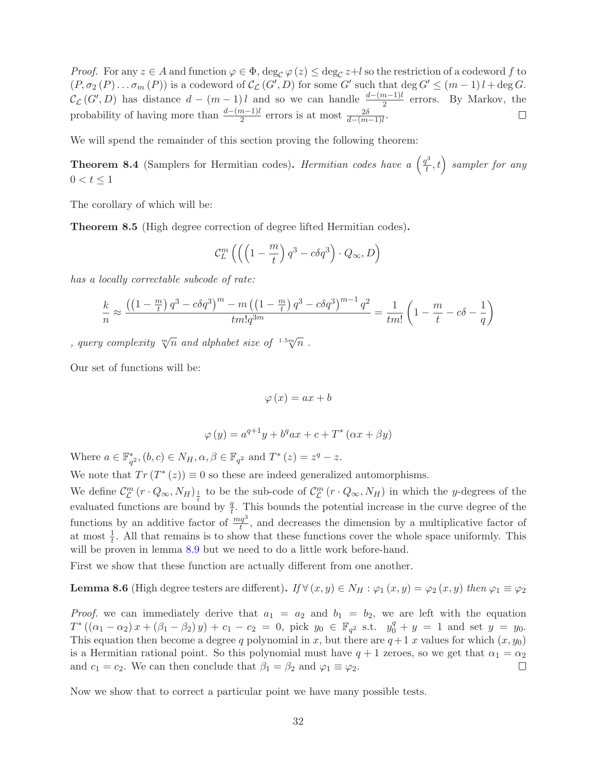Proof. For any  $z \in A$  and function  $\varphi \in \Phi$ ,  $\deg_{\mathcal{C}} \varphi(z) \leq \deg_{\mathcal{C}} z + l$  so the restriction of a codeword f to  $(P, \sigma_2(P) \dots \sigma_m(P))$  is a codeword of  $\mathcal{C}_{\mathcal{L}}(G', D)$  for some G' such that  $\deg G' \leq (m-1)l + \deg G$ .  $\mathcal{C}_{\mathcal{L}}(G', D)$  has distance  $d - (m-1)l$  and so we can handle  $\frac{d-(m-1)l}{2}$  errors. By Markov, the probability of having more than  $\frac{d-(m-1)l}{2}$  errors is at most  $\frac{2\delta}{d-(m-1)l}$ .  $\Box$ 

We will spend the remainder of this section proving the following theorem:

**Theorem 8.4** (Samplers for Hermitian codes). Hermitian codes have a  $\left(\frac{q^3}{l}\right)$  $\left(t^3\over t},t\right)$  sampler for any  $0 < t \leq 1$ 

The corollary of which will be:

<span id="page-31-0"></span>Theorem 8.5 (High degree correction of degree lifted Hermitian codes).

$$
\mathcal{C}_L^m\left(\left(\left(1-\frac{m}{t}\right)q^3-c\delta q^3\right)\cdot Q_\infty,D\right)
$$

has a locally correctable subcode of rate:

$$
\frac{k}{n} \approx \frac{\left(\left(1 - \frac{m}{t}\right)q^3 - c\delta q^3\right)^m - m\left(\left(1 - \frac{m}{t}\right)q^3 - c\delta q^3\right)^{m-1}q^2}{tm!q^{3m}} = \frac{1}{tm!}\left(1 - \frac{m}{t} - c\delta - \frac{1}{q}\right)
$$

, query complexity  $\sqrt[m]{n}$  and alphabet size of  $1.5\sqrt[m]{n}$ .

Our set of functions will be:

$$
\varphi(x) = ax + b
$$

$$
\varphi(y) = a^{q+1}y + b^qax + c + T^*(\alpha x + \beta y)
$$

Where  $a \in \mathbb{F}_{q^2}^*$ ,  $(b, c) \in N_H$ ,  $\alpha, \beta \in \mathbb{F}_{q^2}$  and  $T^*(z) = z^q - z$ .

We note that  $Tr(T^*(z)) \equiv 0$  so these are indeed generalized automorphisms.

We define  $\mathcal{C}_{\mathcal{L}}^m$  $\int_{\mathcal{L}}^{m} (r \cdot Q_{\infty}, N_H)_{\frac{1}{t}}$  to be the sub-code of  $\mathcal{C}_{\mathcal{L}}^{m}$  $L^m(\mathbf{r} \cdot Q_{\infty}, N_H)$  in which the y-degrees of the evaluated functions are bound by  $\frac{q}{t}$ . This bounds the potential increase in the curve degree of the functions by an additive factor of  $\frac{mq^3}{t}$ , and decreases the dimension by a multiplicative factor of at most  $\frac{1}{t}$ . All that remains is to show that these functions cover the whole space uniformly. This will be proven in lemma [8.9](#page-32-0) but we need to do a little work before-hand.

First we show that these function are actually different from one another.

## **Lemma 8.6** (High degree testers are different). If  $\forall (x, y) \in N_H : \varphi_1(x, y) = \varphi_2(x, y)$  then  $\varphi_1 \equiv \varphi_2$

*Proof.* we can immediately derive that  $a_1 = a_2$  and  $b_1 = b_2$ , we are left with the equation  $T^*((\alpha_1 - \alpha_2)x + (\beta_1 - \beta_2)y) + c_1 - c_2 = 0$ , pick  $y_0 \in \mathbb{F}_{q^2}$  s.t.  $y_0^q + y = 1$  and set  $y = y_0$ . This equation then become a degree q polynomial in x, but there are  $q+1$  x values for which  $(x, y_0)$ is a Hermitian rational point. So this polynomial must have  $q + 1$  zeroes, so we get that  $\alpha_1 = \alpha_2$ and  $c_1 = c_2$ . We can then conclude that  $\beta_1 = \beta_2$  and  $\varphi_1 \equiv \varphi_2$ .

Now we show that to correct a particular point we have many possible tests.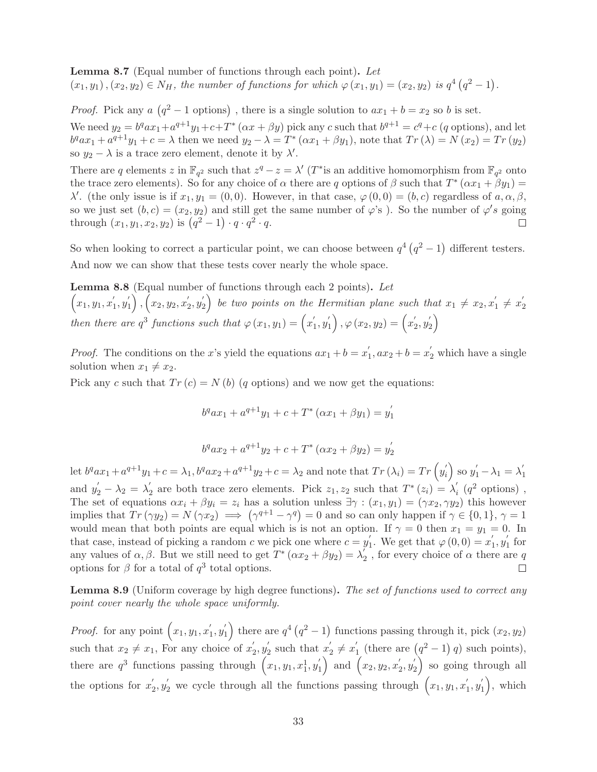Lemma 8.7 (Equal number of functions through each point). Let  $(x_1, y_1), (x_2, y_2) \in N_H$ , the number of functions for which  $\varphi(x_1, y_1) = (x_2, y_2)$  is  $q^4 (q^2 - 1)$ .

*Proof.* Pick any  $a(q^2 - 1 \text{ options})$ , there is a single solution to  $ax_1 + b = x_2$  so b is set. We need  $y_2 = b^q a x_1 + a^{q+1} y_1 + c + T^* (\alpha x + \beta y)$  pick any c such that  $b^{q+1} = c^q + c$  (q options), and let  $b^qax_1 + a^{q+1}y_1 + c = \lambda$  then we need  $y_2 - \lambda = T^* (\alpha x_1 + \beta y_1)$ , note that  $Tr(\lambda) = N(x_2) = Tr(y_2)$ so  $y_2 - \lambda$  is a trace zero element, denote it by  $\lambda'$ .

There are q elements z in  $\mathbb{F}_{q^2}$  such that  $z^q - z = \lambda'$  (T<sup>\*</sup> is an additive homomorphism from  $\mathbb{F}_{q^2}$  onto the trace zero elements). So for any choice of  $\alpha$  there are q options of  $\beta$  such that  $T^*(\alpha x_1 + \beta y_1) =$  $\lambda'$ . (the only issue is if  $x_1, y_1 = (0, 0)$ . However, in that case,  $\varphi(0, 0) = (b, c)$  regardless of  $a, \alpha, \beta$ , so we just set  $(b, c) = (x_2, y_2)$  and still get the same number of  $\varphi$ 's). So the number of  $\varphi$ 's going through  $(x_1, y_1, x_2, y_2)$  is  $(q^2 - 1) \cdot q \cdot q^2 \cdot q$ .

So when looking to correct a particular point, we can choose between  $q^4 (q^2 - 1)$  different testers. And now we can show that these tests cover nearly the whole space.

Lemma 8.8 (Equal number of functions through each 2 points). Let  $(x_1, y_1, x_1')$  $'_{1}, y'_{1}$  $\left( \begin{matrix} 1\ 1 \end{matrix} \right), \left( x_2, y_2, x_2' \right)$  $y_2', y_2'$  $\binom{1}{2}$  be two points on the Hermitian plane such that  $x_1 \neq x_2, x_1'$  $y'_{1} \neq x'_{2}$ 2 then there are  $q^3$  functions such that  $\varphi(x_1, y_1) = \left(x'_1\right)$  $'_{1}, y'_{1}$  $\left\langle \begin{smallmatrix} 1\1 \end{smallmatrix} \right\rangle ,\varphi \left( x_{2},y_{2}\right) =\left( x_{2}^{ \prime }\right)$  $y'_{2}, y'_{2}$  $\binom{1}{2}$ 

*Proof.* The conditions on the x's yield the equations  $ax_1 + b = x_1'$  $y'_1$ ,  $ax_2 + b = x'_2$  which have a single solution when  $x_1 \neq x_2$ .

Pick any c such that  $Tr(c) = N(b)$  (q options) and we now get the equations:

$$
b^{q}ax_{1} + a^{q+1}y_{1} + c + T^{*}(\alpha x_{1} + \beta y_{1}) = y_{1}^{'}
$$

$$
b^{q}ax_{2} + a^{q+1}y_{2} + c + T^{*}(ax_{2} + \beta y_{2}) = y_{2}^{'}
$$

let  $b^q a x_1 + a^{q+1} y_1 + c = \lambda_1, b^q a x_2 + a^{q+1} y_2 + c = \lambda_2$  and note that  $Tr(\lambda_i) = Tr(y'_i)$  $y'_i$  so  $y'_1 - \lambda_1 = \lambda'_1$ 1 and  $y'_2 - \lambda_2 = \lambda'_2$ <sup>'</sup><sub>2</sub> are both trace zero elements. Pick  $z_1, z_2$  such that  $T^*(z_i) = \lambda'_i$  $i \left( q^2 \text{ options} \right)$ , The set of equations  $\alpha x_i + \beta y_i = z_i$  has a solution unless  $\exists \gamma : (x_1, y_1) = (\gamma x_2, \gamma y_2)$  this however implies that  $Tr(\gamma y_2) = N(\gamma x_2) \implies (\gamma^{q+1} - \gamma^q) = 0$  and so can only happen if  $\gamma \in \{0, 1\}, \gamma = 1$ would mean that both points are equal which is is not an option. If  $\gamma = 0$  then  $x_1 = y_1 = 0$ . In that case, instead of picking a random c we pick one where  $c = y_1'$ <sup>'</sup><sub>1</sub>. We get that  $\varphi(0,0) = x'_{1}$  $'_{1}, y'_{1}$  $\int_1$  for any values of  $\alpha, \beta$ . But we still need to get  $T^* (\alpha x_2 + \beta y_2) = \lambda'_2$  $\frac{1}{2}$ , for every choice of  $\alpha$  there are  $q$ options for  $\beta$  for a total of  $q^3$  total options.  $\Box$ 

<span id="page-32-0"></span>Lemma 8.9 (Uniform coverage by high degree functions). The set of functions used to correct any point cover nearly the whole space uniformly.

*Proof.* for any point  $(x_1, y_1, x_1)$  $y'_1, y'_1$  $g_1'$  there are  $q^4 (q^2 - 1)$  functions passing through it, pick  $(x_2, y_2)$ such that  $x_2 \neq x_1$ , For any choice of  $x'_2$  $y'_{2}, y'_{2}$  $y'_2$  such that  $x'_2$  $y'_{2} \neq x'_{1}$  $\int_{1}^{1}$  (there are  $(q^2 - 1) q$ ) such points), there are  $q^3$  functions passing through  $(x_1, y_1, x_1^1, y_1^1)$  $\binom{1}{1}$  and  $\left(x_2, y_2, x_2, \right)$  $y'_{2}, y'_{2}$  $\binom{1}{2}$  so going through all the options for  $x_2'$  $y_2', y_2'$  we cycle through all the functions passing through  $(x_1, y_1, x_1')$  $'_{1}, y'_{1}$  $\binom{1}{1}$ , which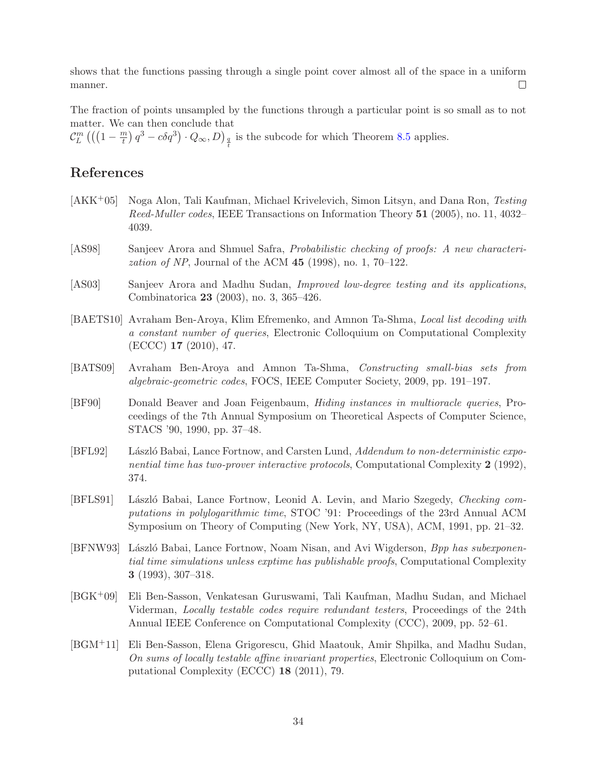shows that the functions passing through a single point cover almost all of the space in a uniform manner.  $\Box$ 

The fraction of points unsampled by the functions through a particular point is so small as to not matter. We can then conclude that

 $\mathcal{C}_L^m$   $\left(\left(\left(1-\frac{m}{t}\right) \right.$  $\left(\frac{n}{t}\right)q^3 - c\delta q^3\right) \cdot Q_{\infty}, D)_{\frac{q}{t}}$  is the subcode for which Theorem [8.5](#page-31-0) applies.

# References

- <span id="page-33-9"></span>[AKK+05] Noga Alon, Tali Kaufman, Michael Krivelevich, Simon Litsyn, and Dana Ron, Testing Reed-Muller codes, IEEE Transactions on Information Theory 51 (2005), no. 11, 4032– 4039.
- <span id="page-33-5"></span>[AS98] Sanjeev Arora and Shmuel Safra, Probabilistic checking of proofs: A new characteri*zation of NP*, Journal of the ACM  $45$  (1998), no. 1, 70–122.
- <span id="page-33-0"></span>[AS03] Sanjeev Arora and Madhu Sudan, Improved low-degree testing and its applications, Combinatorica 23 (2003), no. 3, 365–426.
- <span id="page-33-7"></span>[BAETS10] Avraham Ben-Aroya, Klim Efremenko, and Amnon Ta-Shma, Local list decoding with a constant number of queries, Electronic Colloquium on Computational Complexity (ECCC) 17 (2010), 47.
- <span id="page-33-1"></span>[BATS09] Avraham Ben-Aroya and Amnon Ta-Shma, Constructing small-bias sets from algebraic-geometric codes, FOCS, IEEE Computer Society, 2009, pp. 191–197.
- <span id="page-33-2"></span>[BF90] Donald Beaver and Joan Feigenbaum, Hiding instances in multioracle queries, Proceedings of the 7th Annual Symposium on Theoretical Aspects of Computer Science, STACS '90, 1990, pp. 37–48.
- <span id="page-33-4"></span>[BFL92] László Babai, Lance Fortnow, and Carsten Lund, Addendum to non-deterministic exponential time has two-prover interactive protocols, Computational Complexity 2 (1992), 374.
- <span id="page-33-3"></span>[BFLS91] László Babai, Lance Fortnow, Leonid A. Levin, and Mario Szegedy, Checking computations in polylogarithmic time, STOC '91: Proceedings of the 23rd Annual ACM Symposium on Theory of Computing (New York, NY, USA), ACM, 1991, pp. 21–32.
- <span id="page-33-6"></span>[BFNW93] László Babai, Lance Fortnow, Noam Nisan, and Avi Wigderson, Bpp has subexponential time simulations unless exptime has publishable proofs, Computational Complexity 3 (1993), 307–318.
- <span id="page-33-8"></span>[BGK+09] Eli Ben-Sasson, Venkatesan Guruswami, Tali Kaufman, Madhu Sudan, and Michael Viderman, Locally testable codes require redundant testers, Proceedings of the 24th Annual IEEE Conference on Computational Complexity (CCC), 2009, pp. 52–61.
- <span id="page-33-10"></span>[BGM+11] Eli Ben-Sasson, Elena Grigorescu, Ghid Maatouk, Amir Shpilka, and Madhu Sudan, On sums of locally testable affine invariant properties, Electronic Colloquium on Computational Complexity (ECCC) 18 (2011), 79.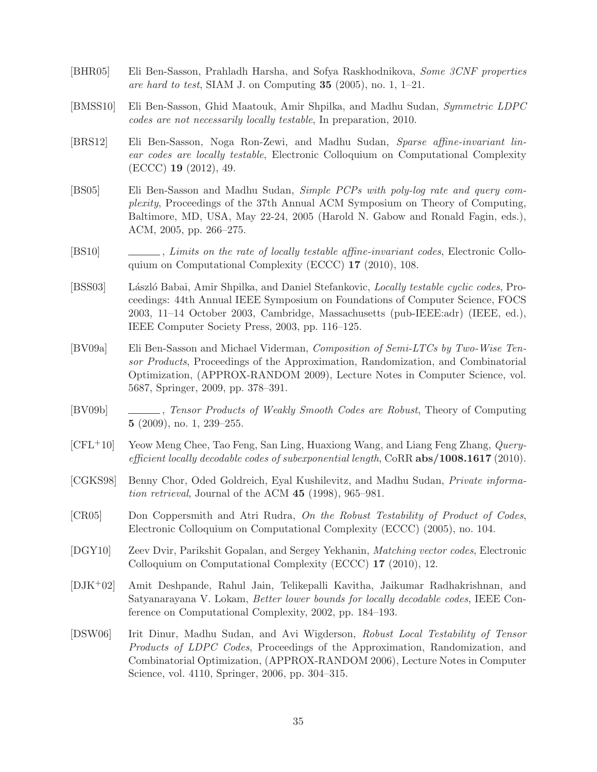- <span id="page-34-10"></span>[BHR05] Eli Ben-Sasson, Prahladh Harsha, and Sofya Raskhodnikova, Some 3CNF properties are hard to test, SIAM J. on Computing  $35$  (2005), no. 1, 1–21.
- <span id="page-34-5"></span>[BMSS10] Eli Ben-Sasson, Ghid Maatouk, Amir Shpilka, and Madhu Sudan, Symmetric LDPC codes are not necessarily locally testable, In preparation, 2010.
- <span id="page-34-13"></span>[BRS12] Eli Ben-Sasson, Noga Ron-Zewi, and Madhu Sudan, Sparse affine-invariant linear codes are locally testable, Electronic Colloquium on Computational Complexity (ECCC) 19 (2012), 49.
- <span id="page-34-0"></span>[BS05] Eli Ben-Sasson and Madhu Sudan, Simple PCPs with poly-log rate and query complexity, Proceedings of the 37th Annual ACM Symposium on Theory of Computing, Baltimore, MD, USA, May 22-24, 2005 (Harold N. Gabow and Ronald Fagin, eds.), ACM, 2005, pp. 266–275.
- <span id="page-34-12"></span>[BS10] , Limits on the rate of locally testable affine-invariant codes, Electronic Colloquium on Computational Complexity (ECCC) 17 (2010), 108.
- <span id="page-34-11"></span>[BSS03] László Babai, Amir Shpilka, and Daniel Stefankovic, *Locally testable cyclic codes*, Proceedings: 44th Annual IEEE Symposium on Foundations of Computer Science, FOCS 2003, 11–14 October 2003, Cambridge, Massachusetts (pub-IEEE:adr) (IEEE, ed.), IEEE Computer Society Press, 2003, pp. 116–125.
- <span id="page-34-3"></span>[BV09a] Eli Ben-Sasson and Michael Viderman, Composition of Semi-LTCs by Two-Wise Tensor Products, Proceedings of the Approximation, Randomization, and Combinatorial Optimization, (APPROX-RANDOM 2009), Lecture Notes in Computer Science, vol. 5687, Springer, 2009, pp. 378–391.
- <span id="page-34-4"></span>[BV09b] , Tensor Products of Weakly Smooth Codes are Robust, Theory of Computing 5 (2009), no. 1, 239–255.
- <span id="page-34-8"></span>[CFL+10] Yeow Meng Chee, Tao Feng, San Ling, Huaxiong Wang, and Liang Feng Zhang, Queryefficient locally decodable codes of suberponential length, CoRR  $abs/1008.1617$  (2010).
- <span id="page-34-6"></span>[CGKS98] Benny Chor, Oded Goldreich, Eyal Kushilevitz, and Madhu Sudan, Private information retrieval, Journal of the ACM 45 (1998), 965–981.
- <span id="page-34-1"></span>[CR05] Don Coppersmith and Atri Rudra, On the Robust Testability of Product of Codes, Electronic Colloquium on Computational Complexity (ECCC) (2005), no. 104.
- <span id="page-34-7"></span>[DGY10] Zeev Dvir, Parikshit Gopalan, and Sergey Yekhanin, Matching vector codes, Electronic Colloquium on Computational Complexity (ECCC) 17 (2010), 12.
- <span id="page-34-9"></span>[DJK+02] Amit Deshpande, Rahul Jain, Telikepalli Kavitha, Jaikumar Radhakrishnan, and Satyanarayana V. Lokam, Better lower bounds for locally decodable codes, IEEE Conference on Computational Complexity, 2002, pp. 184–193.
- <span id="page-34-2"></span>[DSW06] Irit Dinur, Madhu Sudan, and Avi Wigderson, Robust Local Testability of Tensor Products of LDPC Codes, Proceedings of the Approximation, Randomization, and Combinatorial Optimization, (APPROX-RANDOM 2006), Lecture Notes in Computer Science, vol. 4110, Springer, 2006, pp. 304–315.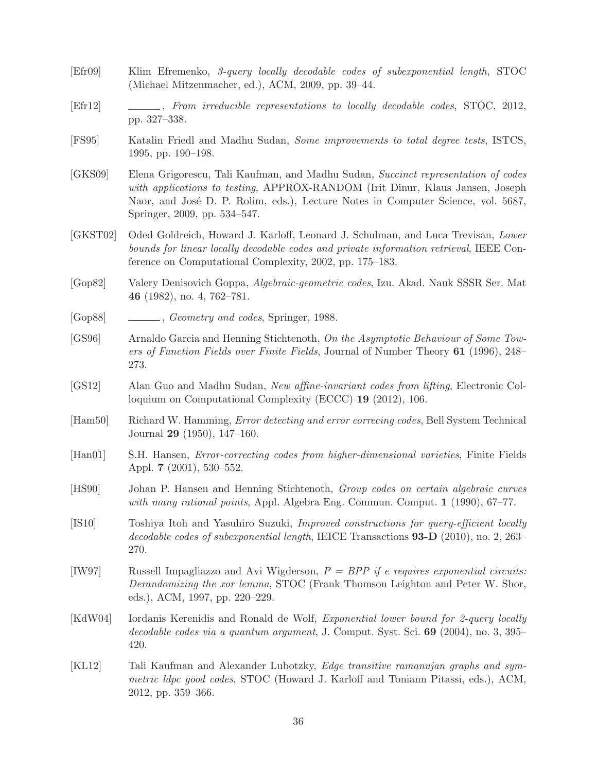- <span id="page-35-6"></span>[Efr09] Klim Efremenko, 3-query locally decodable codes of subexponential length, STOC (Michael Mitzenmacher, ed.), ACM, 2009, pp. 39–44.
- <span id="page-35-13"></span>[Efr12] , From irreducible representations to locally decodable codes, STOC, 2012, pp. 327–338.
- <span id="page-35-2"></span>[FS95] Katalin Friedl and Madhu Sudan, Some improvements to total degree tests, ISTCS, 1995, pp. 190–198.
- <span id="page-35-12"></span>[GKS09] Elena Grigorescu, Tali Kaufman, and Madhu Sudan, Succinct representation of codes with applications to testing, APPROX-RANDOM (Irit Dinur, Klaus Jansen, Joseph Naor, and José D. P. Rolim, eds.), Lecture Notes in Computer Science, vol. 5687, Springer, 2009, pp. 534–547.
- <span id="page-35-9"></span>[GKST02] Oded Goldreich, Howard J. Karloff, Leonard J. Schulman, and Luca Trevisan, Lower bounds for linear locally decodable codes and private information retrieval, IEEE Conference on Computational Complexity, 2002, pp. 175–183.
- <span id="page-35-14"></span>[Gop82] Valery Denisovich Goppa, Algebraic-geometric codes, Izu. Akad. Nauk SSSR Ser. Mat 46 (1982), no. 4, 762–781.
- <span id="page-35-10"></span>[Gop88] Geometry and codes, Springer, 1988.
- <span id="page-35-3"></span>[GS96] Arnaldo Garcia and Henning Stichtenoth, On the Asymptotic Behaviour of Some Towers of Function Fields over Finite Fields, Journal of Number Theory 61 (1996), 248– 273.
- <span id="page-35-1"></span>[GS12] Alan Guo and Madhu Sudan, New affine-invariant codes from lifting, Electronic Colloquium on Computational Complexity (ECCC) 19 (2012), 106.
- <span id="page-35-0"></span>[Ham50] Richard W. Hamming, Error detecting and error correcing codes, Bell System Technical Journal 29 (1950), 147–160.
- <span id="page-35-15"></span>[Han01] S.H. Hansen, Error-correcting codes from higher-dimensional varieties, Finite Fields Appl. 7 (2001), 530–552.
- <span id="page-35-4"></span>[HS90] Johan P. Hansen and Henning Stichtenoth, Group codes on certain algebraic curves with many rational points, Appl. Algebra Eng. Commun. Comput. 1 (1990), 67–77.
- <span id="page-35-7"></span>[IS10] Toshiya Itoh and Yasuhiro Suzuki, Improved constructions for query-efficient locally decodable codes of subexponential length, IEICE Transactions  $93-D(2010)$ , no. 2, 263– 270.
- <span id="page-35-5"></span>[IW97] Russell Impagliazzo and Avi Wigderson,  $P = BPP$  if e requires exponential circuits: Derandomizing the xor lemma, STOC (Frank Thomson Leighton and Peter W. Shor, eds.), ACM, 1997, pp. 220–229.
- <span id="page-35-8"></span>[KdW04] Iordanis Kerenidis and Ronald de Wolf, Exponential lower bound for 2-query locally decodable codes via a quantum argument, J. Comput. Syst. Sci. 69 (2004), no. 3, 395– 420.
- <span id="page-35-11"></span>[KL12] Tali Kaufman and Alexander Lubotzky, Edge transitive ramanujan graphs and symmetric ldpc good codes, STOC (Howard J. Karloff and Toniann Pitassi, eds.), ACM, 2012, pp. 359–366.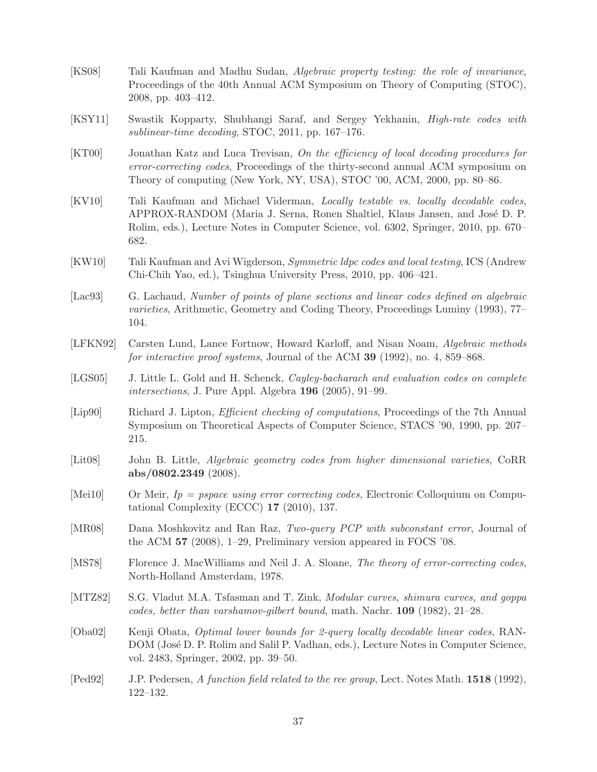- <span id="page-36-2"></span>[KS08] Tali Kaufman and Madhu Sudan, Algebraic property testing: the role of invariance, Proceedings of the 40th Annual ACM Symposium on Theory of Computing (STOC), 2008, pp. 403–412.
- <span id="page-36-1"></span>[KSY11] Swastik Kopparty, Shubhangi Saraf, and Sergey Yekhanin, High-rate codes with sublinear-time decoding, STOC, 2011, pp. 167–176.
- <span id="page-36-0"></span>[KT00] Jonathan Katz and Luca Trevisan, On the efficiency of local decoding procedures for error-correcting codes, Proceedings of the thirty-second annual ACM symposium on Theory of computing (New York, NY, USA), STOC '00, ACM, 2000, pp. 80–86.
- <span id="page-36-3"></span>[KV10] Tali Kaufman and Michael Viderman, Locally testable vs. locally decodable codes, APPROX-RANDOM (Maria J. Serna, Ronen Shaltiel, Klaus Jansen, and José D. P. Rolim, eds.), Lecture Notes in Computer Science, vol. 6302, Springer, 2010, pp. 670– 682.
- <span id="page-36-12"></span>[KW10] Tali Kaufman and Avi Wigderson, Symmetric ldpc codes and local testing, ICS (Andrew Chi-Chih Yao, ed.), Tsinghua University Press, 2010, pp. 406–421.
- <span id="page-36-13"></span>[Lac93] G. Lachaud, Number of points of plane sections and linear codes defined on algebraic varieties, Arithmetic, Geometry and Coding Theory, Proceedings Luminy (1993), 77– 104.
- <span id="page-36-10"></span>[LFKN92] Carsten Lund, Lance Fortnow, Howard Karloff, and Nisan Noam, Algebraic methods for interactive proof systems, Journal of the ACM 39 (1992), no. 4, 859–868.
- <span id="page-36-14"></span>[LGS05] J. Little L. Gold and H. Schenck, *Cayley-bacharach and evaluation codes on complete* intersections, J. Pure Appl. Algebra 196 (2005), 91–99.
- <span id="page-36-9"></span>[Lip90] Richard J. Lipton, *Efficient checking of computations*, Proceedings of the 7th Annual Symposium on Theoretical Aspects of Computer Science, STACS '90, 1990, pp. 207– 215.
- <span id="page-36-15"></span>[Lit08] John B. Little, Algebraic geometry codes from higher dimensional varieties, CoRR abs/0802.2349 (2008).
- <span id="page-36-6"></span>[Mei10] Or Meir,  $I_p =$  pspace using error correcting codes, Electronic Colloquium on Computational Complexity (ECCC) 17 (2010), 137.
- <span id="page-36-8"></span>[MR08] Dana Moshkovitz and Ran Raz, Two-query PCP with subconstant error, Journal of the ACM 57 (2008), 1–29, Preliminary version appeared in FOCS '08.
- <span id="page-36-4"></span>[MS78] Florence J. MacWilliams and Neil J. A. Sloane, The theory of error-correcting codes, North-Holland Amsterdam, 1978.
- <span id="page-36-5"></span>[MTZ82] S.G. Vladut M.A. Tsfasman and T. Zink, *Modular curves, shimura curves, and goppa* codes, better than varshamov-gilbert bound, math. Nachr. 109 (1982), 21–28.
- <span id="page-36-11"></span>[Oba02] Kenji Obata, Optimal lower bounds for 2-query locally decodable linear codes, RAN-DOM (José D. P. Rolim and Salil P. Vadhan, eds.), Lecture Notes in Computer Science, vol. 2483, Springer, 2002, pp. 39–50.
- <span id="page-36-7"></span>[Ped92] J.P. Pedersen, A function field related to the ree group, Lect. Notes Math. 1518 (1992), 122–132.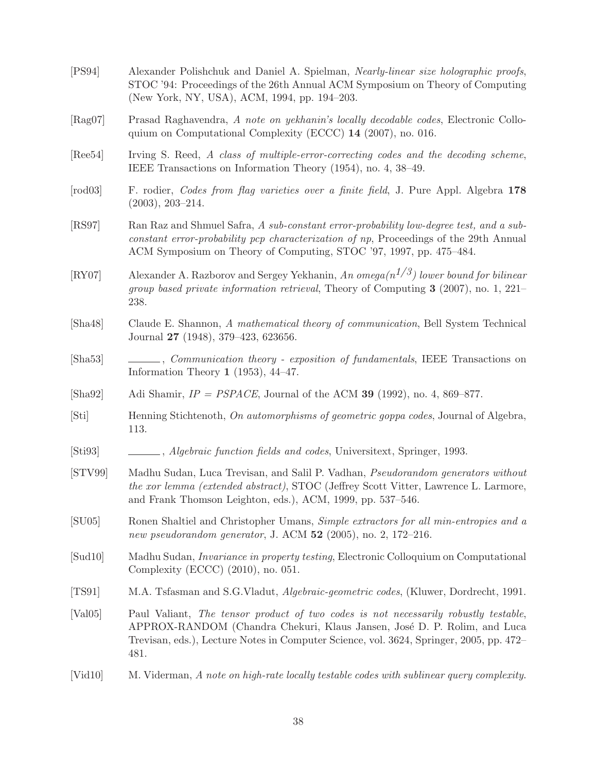<span id="page-37-16"></span><span id="page-37-14"></span><span id="page-37-12"></span><span id="page-37-11"></span><span id="page-37-8"></span><span id="page-37-7"></span><span id="page-37-5"></span><span id="page-37-4"></span><span id="page-37-1"></span><span id="page-37-0"></span>

| [PS94]           | Alexander Polishchuk and Daniel A. Spielman, Nearly-linear size holographic proofs,<br>STOC '94: Proceedings of the 26th Annual ACM Symposium on Theory of Computing<br>(New York, NY, USA), ACM, 1994, pp. 194–203.                                               |
|------------------|--------------------------------------------------------------------------------------------------------------------------------------------------------------------------------------------------------------------------------------------------------------------|
| [Rag07]          | Prasad Raghavendra, A note on yekhanin's locally decodable codes, Electronic Collo-<br>quium on Computational Complexity (ECCC) 14 (2007), no. 016.                                                                                                                |
| [Ree54]          | Irving S. Reed, A class of multiple-error-correcting codes and the decoding scheme,<br>IEEE Transactions on Information Theory (1954), no. 4, 38–49.                                                                                                               |
| $[\text{rod}03]$ | F. rodier, <i>Codes from flag varieties over a finite field</i> , J. Pure Appl. Algebra 178<br>$(2003), 203-214.$                                                                                                                                                  |
| [RS97]           | Ran Raz and Shmuel Safra, A sub-constant error-probability low-degree test, and a sub-<br>constant error-probability pcp characterization of np, Proceedings of the 29th Annual<br>ACM Symposium on Theory of Computing, STOC '97, 1997, pp. 475–484.              |
| [RY07]           | Alexander A. Razborov and Sergey Yekhanin, An omega $(n^{1/3})$ lower bound for bilinear<br>group based private information retrieval, Theory of Computing $3$ (2007), no. 1, 221–<br>238.                                                                         |
| [Sha48]          | Claude E. Shannon, A mathematical theory of communication, Bell System Technical<br>Journal 27 (1948), 379–423, 623656.                                                                                                                                            |
| [Sha53]          | Communication theory - exposition of fundamentals, IEEE Transactions on<br>Information Theory 1 (1953), $44-47$ .                                                                                                                                                  |
| [Sha92]          | Adi Shamir, $IP = PSPACE$ , Journal of the ACM 39 (1992), no. 4, 869–877.                                                                                                                                                                                          |
| [Sti]            | Henning Stichtenoth, On automorphisms of geometric goppa codes, Journal of Algebra,<br>113.                                                                                                                                                                        |
| [Sti93]          | Algebraic function fields and codes, Universitext, Springer, 1993.                                                                                                                                                                                                 |
| [STV99]          | Madhu Sudan, Luca Trevisan, and Salil P. Vadhan, <i>Pseudorandom generators without</i><br>the xor lemma (extended abstract), STOC (Jeffrey Scott Vitter, Lawrence L. Larmore,<br>and Frank Thomson Leighton, eds.), ACM, 1999, pp. 537-546.                       |
| [SU05]           | Ronen Shaltiel and Christopher Umans, Simple extractors for all min-entropies and a<br>new pseudorandom generator, J. ACM $52$ (2005), no. 2, 172-216.                                                                                                             |
| [Sud10]          | Madhu Sudan, <i>Invariance in property testing</i> , Electronic Colloquium on Computational<br>Complexity (ECCC) $(2010)$ , no. 051.                                                                                                                               |
| [TS91]           | M.A. Tsfasman and S.G.Vladut, <i>Algebraic-geometric codes</i> , (Kluwer, Dordrecht, 1991.                                                                                                                                                                         |
| [Val05]          | Paul Valiant, The tensor product of two codes is not necessarily robustly testable,<br>APPROX-RANDOM (Chandra Chekuri, Klaus Jansen, José D. P. Rolim, and Luca<br>Trevisan, eds.), Lecture Notes in Computer Science, vol. 3624, Springer, 2005, pp. 472–<br>481. |
| $[\text{Vid}10]$ | M. Viderman, A note on high-rate locally testable codes with sublinear query complexity.                                                                                                                                                                           |

<span id="page-37-15"></span><span id="page-37-13"></span><span id="page-37-10"></span><span id="page-37-9"></span><span id="page-37-6"></span><span id="page-37-3"></span><span id="page-37-2"></span>38